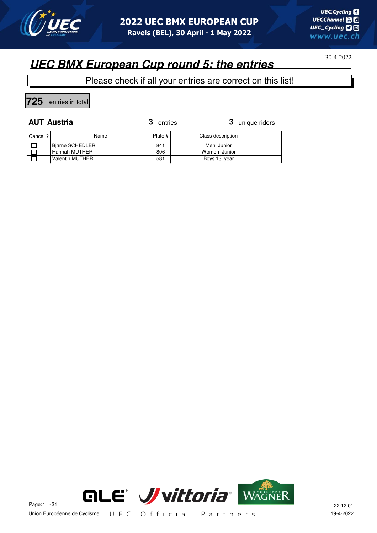

Please check if all your entries are correct on this list!

**725** entries in total

 $\blacksquare$ 

**AUT Austria 3** unique riders  $\overline{\phantom{a}}$  $\overline{\phantom{0}}$ 

| Cancel ? | Name                   | Plate # | Class description |  |
|----------|------------------------|---------|-------------------|--|
|          | <b>Biarne SCHEDLER</b> | 841     | Men Junior        |  |
|          | Hannah MUTHER          | 806     | Women Junior      |  |
|          | <b>Valentin MUTHER</b> | 581     | Boys 13 year      |  |



30-4-2022

 $\overline{\phantom{0}}$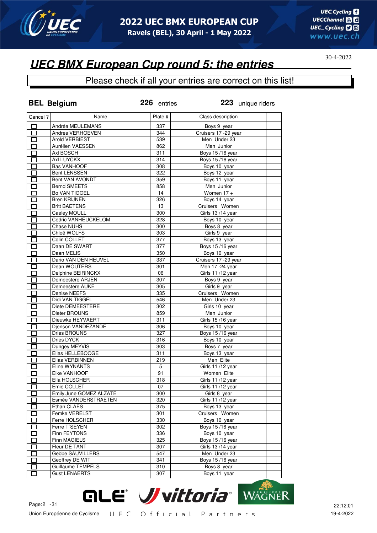

## **UEC BMX European Cup round 5: the entries**

|                | <b>BEL Belgium</b>      | 226 entries | 223 unique riders     |
|----------------|-------------------------|-------------|-----------------------|
| Cancel ?       | Name                    | Plate #     | Class description     |
| П              | Andréa MEULEMANS        | 337         | Boys 9 year           |
| 口              | Andres VERHOEVEN        | 344         | Cruisers 17 - 29 year |
| П              | Arold VERBIEST          | 539         | Men Under 23          |
| E.             | Aurélien VAESSEN        | 862         | Men Junior            |
| П              | Axl BOSCH               | 311         | Boys 15/16 year       |
| П              | Axl LUYCKX              | 314         | Boys 15/16 year       |
| П              | <b>Bas VANHOOF</b>      | 308         | Boys 10 year          |
| П              | <b>Bent LENSSEN</b>     | 322         | Boys 12 year          |
| П              | Bent VAN AVONDT         | 359         | Boys 11 year          |
| $\Box$         | <b>Bernd SMEETS</b>     | 858         | Men Junior            |
| П              | <b>Bo VAN TIGGEL</b>    | 14          | Women $17 +$          |
| П              | <b>Bren KRIJNEN</b>     | 326         | Boys 14 year          |
| П              | <b>Britt BAETENS</b>    | 13          | Cruisers Women        |
| $\Box$         | Caeley MOULL            | 300         | Girls 13 /14 year     |
| П              | Cedric VANHEUCKELOM     | 328         | Boys 10 year          |
| П              | Chase NUHS              | 300         | Boys 8 year           |
| П              | Chloë WOLFS             | 303         | Girls 9 year          |
| $\Box$         | Colin COLLET            | 377         | Boys 13 year          |
| $\Box$         | Daan DE SWART           | 377         | Boys 15/16 year       |
| П              | Daan MELIS              | 350         | Boys 10 year          |
| П              | Dario VAN DEN HEUVEL    | 337         | Cruisers 17 - 29 year |
| $\Box$         | Dean WOUTERS            | 301         | Men 17 -24 year       |
| П              | Delphine BEIRINCKX      | 06          | Girls 11/12 year      |
| П              | Demeestere ARJEN        | 307         | Boys 9 year           |
| П              | Demeestere AUKE         | 305         | Girls 9 year          |
| П              | Denise NEEFS            | 335         | Cruisers Women        |
| П              | Didi VAN TIGGEL         | 546         | Men Under 23          |
| $\Box$         | Diete DEMEESTERE        | 302         | Girls 10 year         |
| Π              | Dieter BROUNS           | 859         | Men Junior            |
| Ī              | Dieuwke HEYVAERT        | 311         | Girls 15/16 year      |
| П              | Djenson VANDEZANDE      | 306         | Boys 10 year          |
| Π              | Dries BROUNS            | 327         | Boys 15/16 year       |
| П              | Dries DYCK              | 316         | Boys 10 year          |
| $\Box$         | Dungey MEYVIS           | 303         | Boys 7 year           |
| $\blacksquare$ | Elias HELLEBOOGE        | 311         | Boys 13 year          |
| П              | Elias VERBINNEN         | 219         | Men Elite             |
|                | Eline WYNANTS           | 5           | Girls 11 /12 year     |
| Π              | Elke VANHOOF            | 91          | Women Elite           |
| П              | Ella HOLSCHER           | 318         | Girls 11/12 year      |
|                | Emie COLLET             | 07          | Girls 11 /12 year     |
| Г              | Emily June GOMEZ ALZATE | 300         | Girls 8 year          |
| П              | Esmée VANDERSTRAETEN    | 320         | Girls 11/12 year      |
| $\Box$         | Ethan CLAES             | 375         | Boys 13 year          |
| Г              | Femke VERELST           | 301         | Cruisers Women        |
| П              | Ferre HOLSCHER          | 330         | Boys 10 year          |
| П              | Ferre T'SEYEN           | 302         | Boys 15/16 year       |
|                | Finn FEYTONS            |             | Boys 10 year          |
| $\Box$         | Finn MAGIELS            | 336<br>325  | Boys 15/16 year       |
| Г              | Fleur DE TANT           |             | Girls 13/14 year      |
|                | Gebbe SAUVILLERS        | 307         |                       |
| 匸              |                         | 547         | Men Under 23          |
| $\Box$         | Geoffrey DE WIT         | 341         | Boys 15/16 year       |
|                | Guillaume TEMPELS       | 310         | Boys 8 year           |
|                | <b>Gust LENAERTS</b>    | 307         | Boys 11 year          |

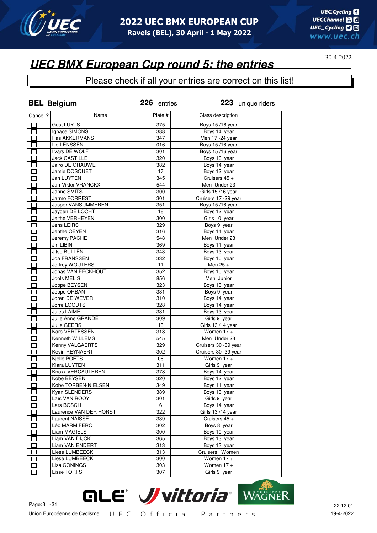

### **UEC BMX European Cup round 5: the entries**

|                                                      | <b>BEL Belgium</b>        | 226 entries | 223 unique riders    |
|------------------------------------------------------|---------------------------|-------------|----------------------|
| Cancel ?                                             | Name                      | Plate #     | Class description    |
| □                                                    | <b>Gust LUYTS</b>         | 375         | Boys 15/16 year      |
| 口                                                    | Ignace SIMONS             | 388         | Boys 14 year         |
| П                                                    | <b>Ilias AKKERMANS</b>    | 347         | Men 17 - 24 year     |
| □                                                    | Iljo LENSSEN              | 016         | Boys 15/16 year      |
| 口                                                    | Ilvars DE WOLF            | 301         | Boys 15/16 year      |
| П                                                    | <b>Jack CASTILLE</b>      | 320         | Boys 10 year         |
| 口                                                    | Jairo DE GRAUWE           | 382         | Boys 14 year         |
| $\Box$                                               | Jamie DOSQUET             | 17          | Boys 12 year         |
| $\Box$                                               | Jan LUYTEN                | 345         | Cruisers 45 +        |
| П                                                    | Jan-Viktor VRANCKX        | 544         | Men Under 23         |
| П                                                    | Janne SMITS               | 300         | Girls 15/16 year     |
| П                                                    | Jarmo FORREST             | 301         | Cruisers 17 -29 year |
| n an an Aonaichte ag an Sualach an 1977.<br>Tagairtí | <b>Jasper VANSUMMEREN</b> | 351         | Boys 15/16 year      |
| E.                                                   | Jayden DE LOCHT           | 18          | Boys 12 year         |
|                                                      | Jelthe VERHEYEN           | 300         | Girls 10 year        |
| $\overline{\phantom{0}}$                             | Jens LEIRS                | 329         | Boys 9 year          |
| n an an Aonaichte ag an Sualach an 1977.<br>Tagairtí | Jenthe OEYEN              | 316         | Boys 14 year         |
| Π                                                    | Jeremy PACHE              | 548         | Men Under 23         |
| E.                                                   | Jiri LIBIN                | 369         | Boys 11 year         |
| П                                                    | <b>Jitse BULLEN</b>       | 343         | Boys 13 year         |
| П                                                    | Joa FRANSSEN              | 332         | Boys 10 year         |
| П                                                    | <b>Joffrey WOUTERS</b>    | 11          | Men $25 +$           |
| $\Box$                                               | Jonas VAN EECKHOUT        | 352         | Boys 10 year         |
| П                                                    | Jools MELIS               | 856         | Men Junior           |
| $\mathcal{L}$                                        | Joppe BEYSEN              | 323         | Boys 13 year         |
| П                                                    | Joppe ORBAN               | 331         | Boys 9 year          |
| $\Box$                                               | Joren DE WEVER            | 310         | Boys 14 year         |
| П                                                    | Jorre LOODTS              | 328         | Boys 14 year         |
| $\Box$                                               | Jules LAIME               | 331         | Boys 13 year         |
| П                                                    | Julie Anne GRANDE         | 309         | Girls 9 year         |
| П                                                    | Julie GEERS               | 13          | Girls 13/14 year     |
| П                                                    | Karo VERTESSEN            | 318         | Women $17 +$         |
| $\Box$                                               | Kenneth WILLEMS           | 545         | Men Under 23         |
| $\Box$                                               | Kenny VALGAERTS           | 329         | Cruisers 30 -39 year |
| $\Box$                                               | Kevin REYNAERT            | 302         | Cruisers 30 -39 year |
| П                                                    | Kjelle POETS              | 06          | Women 17 +           |
| П                                                    | Klara LUYTEN              | 311         | Girls 9 year         |
|                                                      | Knoxx VERCAUTEREN         | 378         | Boys 14 year         |
| $\Box$                                               | Kobe BEYSEN               | 320         | Boys 12 year         |
| ப                                                    | Kobe TORBEN-NIELSEN       | 349         | Boys 11 year         |
| П                                                    | Kyan SLENDERS             | 389         | Boys 13 year         |
| $\blacksquare$                                       | Laïs VAN ROOY             | 301         | Girls 9 year         |
| П                                                    | Lars BOSCH                | 6           | Boys 14 year         |
| $\mathbf{I}$                                         | Laurence VAN DER HORST    | 322         | Girls 13/14 year     |
| Π                                                    | Laurent NAISSE            | 339         | Cruisers 45 +        |
| $\mathbf{r}$                                         | Léo MARMIFERO             | 302         | Boys 8 year          |
| П                                                    | Liam MAGIELS              | 300         | Boys 10 year         |
| $\overline{\phantom{0}}$                             | Liam VAN DIJCK            | 365         | Boys 13 year         |
| $\mathbf{I}$                                         | Liam VAN ENDERT           | 313         | Boys 13 year         |
| $\mathbf{I}$                                         | Liese LUMBEECK            | 313         | Cruisers Women       |
| П                                                    | Liese LUMBEECK            | 300         | Women $17 +$         |
| П                                                    | Lisa CONINGS              | 303         | Women $17 +$         |
| l.                                                   | Lisse TORFS               | 307         | Girls 9 year         |
|                                                      |                           |             |                      |

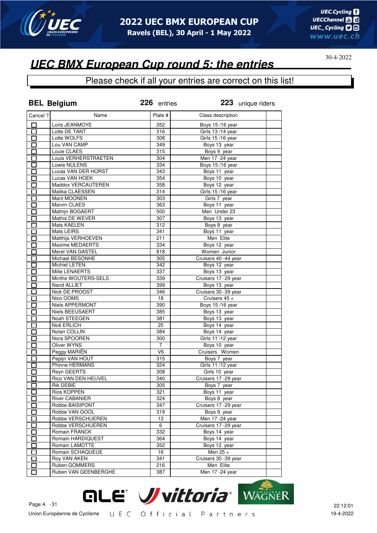

### **UEC BMX European Cup round 5: the entries**

|                   | <b>BEL Belgium</b>     | 226 entries    | 223 unique riders            |
|-------------------|------------------------|----------------|------------------------------|
| Cancel ?          | Name                   | Plate #        | Class description            |
| $\Box$            | Loris JEANMOYE         | 352            | Boys 15/16 year              |
| $\overline{\Box}$ | Lotte DE TANT          | 316            | Girls 13/14 year             |
| $\overline{\Box}$ | Lotte WOLFS            | 308            | Girls 15/16 year             |
| 口                 | Lou VAN CAMP           | 349            | Boys 13 year                 |
| $\Box$            | Louie CLAES            | 315            | Boys 9 year                  |
| $\Box$            | Louis VERHERSTRAETEN   | 304            | Men 17 - 24 year             |
| 囗                 | Lowie NULENS           | 334            | Boys 15/16 year              |
| $\Box$            | Lucas VAN DER HORST    | 343            | Boys 11 year                 |
| $\Box$            | Lucas VAN HOEK         | 354            | Boys 10 year                 |
| $\overline{\Box}$ | Maddox VERCAUTEREN     | 358            | Boys 12 year                 |
| Ó                 | Malika CLAESSEN        | 314            | Girls 15/16 year             |
| $\Box$            | Marit MOONEN           | 303            | Girls 7 year                 |
| П                 | Marvin CLAES           | 363            | Boys 11 year                 |
| П                 | Mathijn BOGAERT        | 500            | Men Under 23                 |
| П                 | Mathis DE WEVER        | 307            | Boys 13 year                 |
| $\Box$            | Mats KAELEN            | 312            | Boys 8 year                  |
| $\Box$            | Mats LEIRS             | 341            | Boys 11 year                 |
| П                 | Matthijs VERHOEVEN     | 211            | Men Elite                    |
| П                 | <b>Maxime MEDAERTS</b> | 334            |                              |
|                   |                        |                | Boys 12 year<br>Women Junior |
| $\Box$            | Merel VAN GASTEL       | 818            |                              |
| $\Box$            | Michael BESONHE        | 305            | Cruisers 40 -44 year         |
| П                 | Michiel LETEN          | 342            | Boys 12 year                 |
| $\Box$            | Mille LENAERTS         | 337            | Boys 13 year                 |
| $\Box$            | Minthe WOUTERS-SELS    | 339            | Cruisers 17 - 29 year        |
| $\Box$            | Nand ALLIET            | 399            | Boys 13 year                 |
| 囗                 | Nick DE PROOST         | 346            | Cruisers 30 -39 year         |
| $\Box$            | Nico OOMS              | 18             | Cruisers 45 +                |
| П                 | Niels APPERMONT        | 390            | Boys 15/16 year              |
| $\Box$            | <b>Niels BEEUSAERT</b> | 385            | Boys 13 year                 |
| $\Box$            | Noah STEEGEN           | 381            | Boys 13 year                 |
| $\Box$            | Noë ERLICH             | 25             | Boys 14 year                 |
| $\Box$            | Nolan COLLIN           | 384            | Boys 14 year                 |
| $\Box$            | Nora SPOOREN           | 300            | Girls 11 /12 year            |
| $\Box$            | <b>Oliver WYNS</b>     | $\overline{7}$ | Boys 10 year                 |
| $\Box$            | Peggy MARIËN           | V6             | Cruisers Women               |
| 囗                 | Pepijn VAN HOUT        | 315            | Boys 7 year                  |
| $\Box$            | Phinne HERMANS         | 324            | Girls 11 /12 year            |
|                   | <b>Reyn GEERTS</b>     | 308            | Girls 10 year                |
| $\overline{\Box}$ | Rico VAN DEN HEUVEL    | 340            | Cruisers 17 -29 year         |
| ப                 | Rik DEBIE              | 305            | Boys 7 year                  |
| П                 | Rios KOPPEN            | 321            | Boys 11 year                 |
|                   | River CABANIER         | 324            | Boys 8 year                  |
| П                 | Robbe BAISIPONT        | 347            | Cruisers 17 - 29 year        |
| П                 | Robbe VAN GOOL         | 319            | Boys 9 year                  |
| П                 | Robbe VERSCHUEREN      | 13             | Men 17 - 24 year             |
| П                 | Robbe VERSCHUEREN      | 6              | Cruisers 17 - 29 year        |
| П                 | Romain FRANCK          | 332            | Boys 14 year                 |
| $\Box$            | Romain HARDIQUEST      | 364            | Boys 14 year                 |
| $\mathsf{\Gamma}$ | Romain LAMOTTE         | 352            | Boys 12 year                 |
| $\Box$            | Romain SCHAQUEUE       | 16             | Men 25 +                     |
| П                 | Roy VAN AKEN           | 341            | Cruisers 30 -39 year         |
| $\Box$            | Ruben GOMMERS          | 216            | Men Elite                    |
| $\Box$            | Ruben VAN GEENBERGHE   | 387            | Men 17 - 24 year             |
|                   |                        |                |                              |

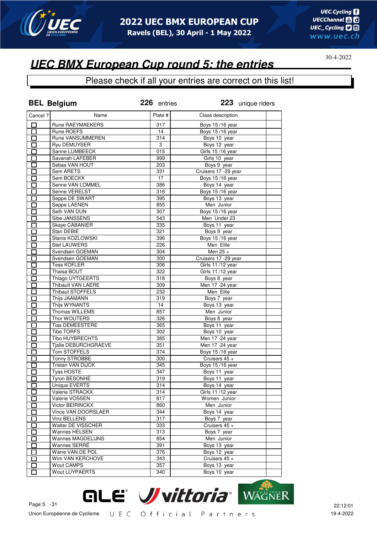

### **UEC BMX European Cup round 5: the entries**

|                          | <b>BEL Belgium</b>       | 226 entries | 223 unique riders         |
|--------------------------|--------------------------|-------------|---------------------------|
| Cancel ?                 | Name                     | Plate #     | Class description         |
| □                        | Rune RAEYMAEKERS         | 317         | Boys 15/16 year           |
| $\Box$                   | Rune ROEFS               | 14          | Boys 15/16 year           |
| П                        | Rune VANSUMMEREN         | 314         | Boys 10 year              |
| $\Box$                   | Ryu DEMUYSER             | 3           | Boys 12 year              |
| $\Box$                   | Sanne LUMBEECK           | 015         | Girls 15/16 year          |
| 口                        | Savanah LAFEBER          | 999         | Girls 10 year             |
| $\Box$                   | Sebas VAN HOUT           | 203         | Boys 9 year               |
| 囗                        | <b>Sem ARETS</b>         | 331         | Cruisers 17 - 29 year     |
| $\Box$                   | Sem BOECKX               | 17          | Boys 15/16 year           |
| $\overline{\Box}$        | Senne VAN LOMMEL         | 386         | Boys 14 year              |
| П                        | Senne VERELST            | 316         | Boys 15/16 year           |
| П                        | Seppe DE SWART           | 395         | Boys 13 year              |
| П                        | Seppe LAENEN             | 855         | Men Junior                |
| П                        | Seth VAN DUN             | 307         | <b>Boys 15/16 year</b>    |
| Π                        | Sibe JANSSENS            | 543         | Men Under 23              |
| П                        | Skaye CABANIER           | 335         | Boys 11 year              |
| $\overline{\phantom{0}}$ | Stan DEBIE               | 321         | Boys 9 year               |
| П                        | Stanis KOZLOWSKI         | 396         | Boys 15/16 year           |
| П                        | <b>Stef LAUWERS</b>      | 226         | Men Elite                 |
| П                        | Svendsen GOEMAN          | 304         | Men 25 +                  |
| П                        | Svendsen GOEMAN          | 300         | Cruisers 17 - 29 year     |
| П                        | <b>Tess KOFLER</b>       | 306         | Girls 11/12 year          |
| $\Box$                   | Thaisa BOUT              | 322         | Girls 11 /12 year         |
| П                        | Thiago UYTGEERTS         | 318         | Boys 8 year               |
| $\Box$                   | Thibault VAN LAERE       | 309         | Men 17 - 24 year          |
| П                        | <b>Thibaut STOFFELS</b>  | 232         | Men Elite                 |
| $\Box$                   | Thijs JAAMANN            | 319         | Boys 7 year               |
| П                        | Thijs WYNANTS            | 14          | Boys 13 year              |
| $\Box$                   | Thomas WILLEMS           | 857         | Men Junior                |
| П                        | Thor WOUTERS             | 326         | Boys 8 year               |
| П                        | <b>Tias DEMEESTERE</b>   | 365         | Boys 11 year              |
| П                        | <b>Tibe TORFS</b>        | 302         | Boys 10 year              |
| $\Box$                   | Tibo HUYBRECHTS          | 385         | Men 17 - 24 year          |
| $\Box$                   | Tjalle DEBURCHGRAEVE     | 351         | Men 17 -24 year           |
| $\Box$                   | Tom STOFFELS             | 374         | <b>Boys 15/16 year</b>    |
| $\Box$                   | <b>Tonny STROBBE</b>     | 300         | Cruisers 45 +             |
| 口                        | Tristan VAN DIJCK        | 345         | Boys 15/16 year           |
| $\Box$                   | <b>Tyas HOSTE</b>        | 347         | Boys 11 year              |
| $\overline{\Box}$        | Tyron BESONHÉ            | 319         | Boys 11 year              |
|                          | Unique EVERTS            | 314         | Boys 14 year              |
| ப<br>П                   | Valerie STRACKX          | 314         | Girls 11 /12 year         |
| $\mathsf{\Gamma}$        | Valerie VOSSEN           | 817         | Women Junior              |
| $\mathbf{I}$             | Victor BEIRINCKX         | 860         | Men Junior                |
| $\mathbf{r}$             | Vince VAN DOORSLAER      | 344         | Boys 14 year              |
| Π                        | Vinz BELLENS             | 317         | Boys 7 year               |
|                          | Walter DE VISSCHER       | 333         | Cruisers $45 +$           |
| П                        | <b>Wannes HELSEN</b>     | 313         |                           |
| $\overline{\phantom{0}}$ | <b>Wannes MAGDELIJNS</b> | 854         | Boys 7 year<br>Men Junior |
| $\mathbf{I}$             | Wannes SERRÉ             | 391         | Boys 13 year              |
| $\mathbf{I}$             | Warre VAN DE POL         | 376         | Boys 12 year              |
| П                        | Wim VAN KERCHOVE         | 343         | Cruisers 45 +             |
| П                        | <b>Wout CAMPS</b>        | 357         | Boys 13 year              |
| П                        | <b>Wout LUYPAERTS</b>    | 340         | Boys 10 year              |
|                          |                          |             |                           |

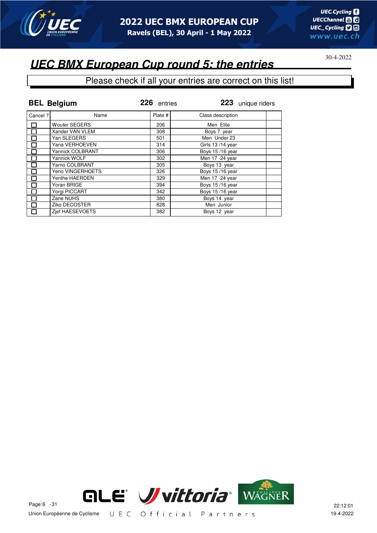

### **UEC BMX European Cup round 5: the entries**

|         | <b>BEL Belgium</b>      | 226 entries | 223 unique riders |
|---------|-------------------------|-------------|-------------------|
| Cancel? | Name                    | Plate #     | Class description |
| П       | <b>Wouter SEGERS</b>    | 206         | Men Elite         |
|         | Xander VAN VLEM         | 308         | Boys 7 year       |
|         | Yan SLEGERS             | 501         | Men Under 23      |
| П       | Yana VERHOEVEN          | 314         | Girls 13/14 year  |
| П       | <b>Yannick COLBRANT</b> | 306         | Boys 15/16 year   |
|         | Yannick WOLF            | 302         | Men 17 - 24 year  |
| П       | Yarno COLBRANT          | 305         | Boys 13 year      |
|         | Yeno VINGERHOETS        | 326         | Boys 15/16 year   |
|         | Yenthe HAERDEN          | 329         | Men 17 - 24 year  |
|         | Yoran BRIGE             | 394         | Boys 15/16 year   |
| П       | Yorgi PICCART           | 342         | Boys 15/16 year   |
|         | Zane NUHS               | 380         | Boys 14 year      |
|         | Ziko DECOSTER           | 828         | Men Junior        |
| П       | Zief HAESEVOETS         | 382         | Boys 12 year      |

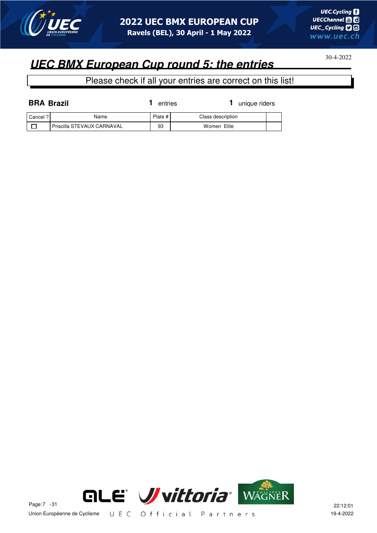

## **UEC BMX European Cup round 5: the entries**

Please check if all your entries are correct on this list!

| <b>BRA Brazil</b> |                            | entries | unique riders     |  |
|-------------------|----------------------------|---------|-------------------|--|
| Cancel ?          | Name                       | Plate # | Class description |  |
|                   | Priscilla STEVAUX CARNAVAL | 93      | Women Elite       |  |



Union Européenne de Cyclisme UEC Official Partners 19-4-2022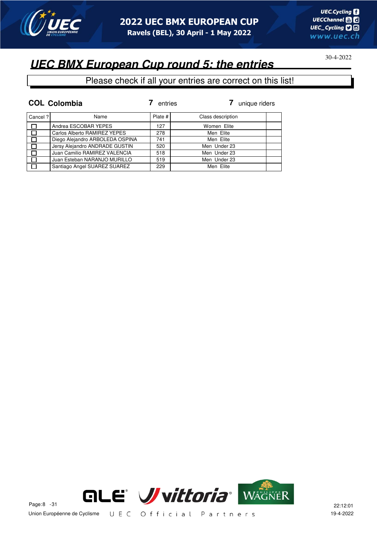

## **UEC BMX European Cup round 5: the entries**

|         | <b>COL Colombia</b>             | entries | unique riders     |
|---------|---------------------------------|---------|-------------------|
| Cancel? | Name                            | Plate # | Class description |
|         | Andrea ESCOBAR YEPES            | 127     | Women Elite       |
|         | Carlos Alberto RAMIREZ YEPES    | 278     | Men Elite         |
|         | Diego Alejandro ARBOLEDA OSPINA | 741     | Men Elite         |
|         | Jersy Alejandro ANDRADE GUSTIN  | 520     | Men Under 23      |
|         | Juan Camilio RAMIREZ VALENCIA   | 518     | Men Under 23      |
|         | Juan Esteban NARANJO MURILLO    | 519     | Men Under 23      |
|         | Santiago Angel SUAREZ SUAREZ    | 229     | Men Elite         |

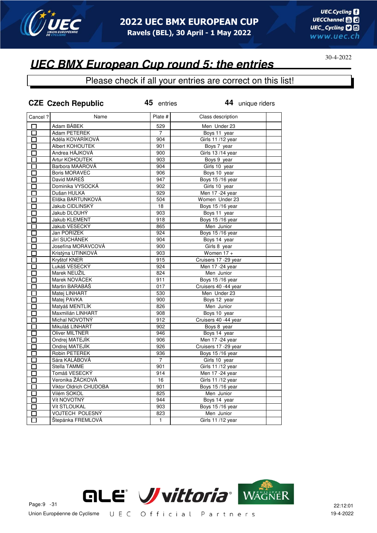

### **UEC BMX European Cup round 5: the entries**

|                   | <b>CZE Czech Republic</b> | 45 entries     | 44 unique riders       |  |
|-------------------|---------------------------|----------------|------------------------|--|
| Cancel?           | Name                      | Plate #        | Class description      |  |
| П                 | Adam BÁBEK                | 529            | Men Under 23           |  |
| $\Box$            | Adam PETEREK              | $\overline{7}$ | Boys 11 year           |  |
| П                 | Adéla KOVARÍKOVÁ          | 904            | Girls 11 /12 year      |  |
| П                 | Albert KOHOUTEK           | 901            | Boys 7 year            |  |
| П                 | Andrea HÁJKOVÁ            | 900            | Girls 13/14 year       |  |
| П                 | Artur KOHOUTEK            | 903            | Boys 9 year            |  |
| П                 | Barbora MAAROVÁ           | 904            | Girls 10 year          |  |
| 囗                 | <b>Boris MORAVEC</b>      | 906            | Boys 10 year           |  |
| 靣                 | David MAREŠ               | 947            | <b>Boys 15/16 year</b> |  |
| $\overline{\Box}$ | Dominika VYSOCKÁ          | 902            | Girls 10 year          |  |
| $\overline{\Box}$ | Dušan HULKA               | 929            | Men 17 -24 year        |  |
| 口                 | Eliška BARTUNKOVÁ         | 504            | Women Under 23         |  |
| ά                 | Jakub CIDLINSKÝ           | 18             | Boys 15/16 year        |  |
|                   | Jakub DLOUHÝ              | 903            | Boys 11 year           |  |
| П                 | Jakub KLEMENT             | 918            | <b>Boys 15/16 year</b> |  |
| $\Box$            | Jakub VESECKÝ             | 865            | Men Junior             |  |
| П                 | Jan PORÍZEK               | 924            | Boys 15/16 year        |  |
| □                 | Jirí SUCHÁNEK             | 904            | Boys 14 year           |  |
| П                 | Josefína MORAVCOVÁ        | 900            | Girls 8 year           |  |
| П                 | Kristýna UTINKOVÁ         | 903            | Women 17 +             |  |
| П                 | Kryštof KNER              | 915            | Cruisers 17 - 29 year  |  |
| П                 | Lukáš VESECKÝ             | 924            | Men 17 - 24 year       |  |
| П                 | Marek NEUŽIL              | 824            | Men Junior             |  |
| П                 | Marek NOVÁCEK             | 911            | Boys 15/16 year        |  |
| □                 | Martin BARABÁŠ            | 017            | Cruisers 40 -44 year   |  |
| П                 | Matej LINHART             | 530            | Men Under 23           |  |
| 囗                 | Matej PAVKA               | 900            | Boys 12 year           |  |
| П                 | Matyáš MENTLÍK            | 826            | Men Junior             |  |
| $\Box$            | Maxmilián LINHART         | 908            | Boys 10 year           |  |
| П                 | Michal NOVOTNÝ            | 912            | Cruisers 40 -44 year   |  |
| $\Box$            | Mikuláš LINHART           | 902            | Boys 8 year            |  |
| $\Box$            | Oliver MILTNER            | 946            | Boys 14 year           |  |
| $\overline{\Box}$ | Ondrej MATEJÍK            | 906            | Men 17 - 24 year       |  |
| П                 | Ondrej MATEJÍK            | 926            | Cruisers 17 - 29 year  |  |
| П                 | Robin PETEREK             | 936            | Boys 15/16 year        |  |
| $\Box$            | Sára KALÁBOVÁ             | $\overline{7}$ | Girls 10 year          |  |
| П                 | Stella TAMME              | 901            | Girls 11 /12 year      |  |
| П                 | Tomáš VESECKÝ             | 914            | Men 17 - 24 year       |  |
| П                 | Veronika ŽÁCKOVÁ          | 16             | Girls 11/12 year       |  |
| $\Box$            | Viktor Oldrich CHUDOBA    | 901            | <b>Boys 15/16 year</b> |  |
| П                 | Vilém SOKOL               | 825            | Men Junior             |  |
| $\Box$            | Vít NOVOTNÝ               | 944            | Boys 14 year           |  |
| П                 | Vít STLOUKAL              | 903            | Boys 15/16 year        |  |
|                   | VOJTECH POLESNÝ           | 823            | Men Junior             |  |
| П                 | Štepánka FREMLOVÁ         | $\mathbf{1}$   | Girls 11/12 year       |  |
|                   |                           |                |                        |  |

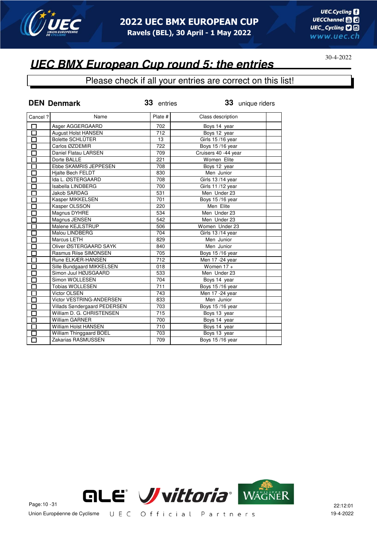

#### Please check if all your entries are correct on this list!

|                   | <b>DEN Denmark</b>             | 33 entries | 33 unique riders     |  |
|-------------------|--------------------------------|------------|----------------------|--|
| Cancel ?          | Name                           | Plate #    | Class description    |  |
| 囗                 | Asger AGGERGAARD               | 702        | Boys 14 year         |  |
| $\overline{\Box}$ | <b>August Holst HANSEN</b>     | 712        | Boys 12 year         |  |
| П                 | <b>Bolette SCHLÜTER</b>        | 13         | Girls 15/16 year     |  |
| П                 | Carlos ØZDEMIR                 | 722        | Boys 15/16 year      |  |
| П                 | Daniel Flatau LARSEN           | 709        | Cruisers 40 -44 year |  |
| П                 | Dorte BALLE                    | 221        | Women Elite          |  |
| $\Box$            | Ebbe SKAMRIS JEPPESEN          | 708        | Boys 12 year         |  |
| $\overline{\Box}$ | <b>Hialte Bech FELDT</b>       | 830        | Men Junior           |  |
| Π                 | Ida L. ØSTERGAARD              | 708        | Girls 13/14 year     |  |
| П                 | Isabella LINDBERG              | 700        | Girls 11/12 year     |  |
| $\Box$            | Jakob SARDAG                   | 531        | Men Under 23         |  |
| $\Box$            | Kasper MIKKELSEN               | 701        | Boys 15/16 year      |  |
| $\Box$            | Kasper OLSSON                  | 220        | Men Elite            |  |
| 口                 | Magnus DYHRE                   | 534        | Men Under 23         |  |
| $\Box$            | Magnus JENSEN                  | 542        | Men Under 23         |  |
| $\Box$            | Malene KEJLSTRUP               | 506        | Women Under 23       |  |
| $\Box$            | Malou LINDBERG                 | 704        | Girls 13/14 year     |  |
| П                 | Marcus LETH                    | 829        | Men Junior           |  |
| $\overline{\Box}$ | Oliver ØSTERGAARD SAYK         | 840        | Men Junior           |  |
| $\overline{\Box}$ | Rasmus Riise SIMONSEN          | 705        | Boys 15/16 year      |  |
| 口                 | Rune ELKÆR-HANSEN              | 712        | Men 17 - 24 year     |  |
| $\Box$            | Sille Bundgaard MIKKELSEN      | 018        | Women $17 +$         |  |
| $\overline{\Box}$ | Simon Juul HØJSGAARD           | 533        | Men Under 23         |  |
| 百                 | Simon WOLLESEN                 | 704        | Boys 14 year         |  |
|                   | <b>Tobias WOLLESEN</b>         | 711        | Boys 15/16 year      |  |
| $\Box$            | Victor OLSEN                   | 743        | Men 17 -24 year      |  |
| $\Box$            | Victor VESTRING-ANDERSEN       | 833        | Men Junior           |  |
| П                 | Villads Søndergaard PEDERSEN   | 703        | Boys 15/16 year      |  |
| $\Box$            | William D. G. CHRISTENSEN      | 715        | Boys 13 year         |  |
| $\overline{\Box}$ | <b>William GARNER</b>          | 700        | Boys 14 year         |  |
| $\overline{\Box}$ | William Holst HANSEN           | 710        | Boys 14 year         |  |
| $\Box$            | <b>William Thinggaard BOEL</b> | 703        | Boys 13 year         |  |
| П                 | Zakarias RASMUSSEN             | 709        | Boys 15/16 year      |  |

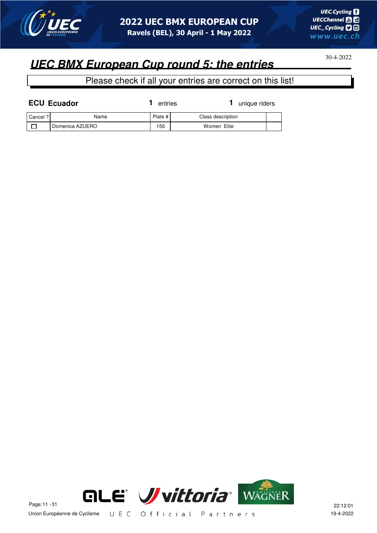

## **UEC BMX European Cup round 5: the entries**

|          | <b>ECU Ecuador</b> | entries   | unique riders     |  |
|----------|--------------------|-----------|-------------------|--|
| Cancel ? | Name               | Plate $#$ | Class description |  |
|          | Domenica AZUERO    | 156       | Women Elite       |  |

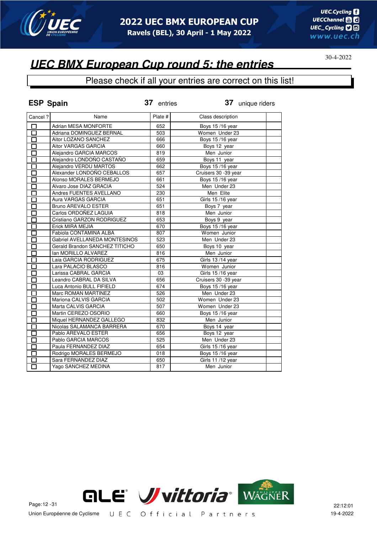

#### Please check if all your entries are correct on this list!

| <b>ESP Spain</b>          |                                | 37 entries | 37 unique riders     |
|---------------------------|--------------------------------|------------|----------------------|
| Cancel ?                  | Name                           | Plate #    | Class description    |
| П                         | Adrian MESA MONFORTE           | 652        | Boys 15/16 year      |
| 口                         | Adriana DOMINGUEZ BERNAL       | 503        | Women Under 23       |
| $\overline{\bm{\Pi}}$     | Aitor LOZANO SANCHEZ           | 666        | Boys 15/16 year      |
| П                         | Aitor VARGAS GARCIA            | 660        | Boys 12 year         |
| $\Box$                    | Alejandro GARCIA MARCOS        | 819        | Men Junior           |
| $\Box$                    | Alejandro LONDOÑO CASTAÑO      | 659        | Boys 11 year         |
| П                         | Alejandro VERDU MARTOS         | 662        | Boys 15/16 year      |
| П                         | Alexander LONDOÑO CEBALLOS     | 657        | Cruisers 30 -39 year |
| $\Box$                    | Alonso MORALES BERMEJO         | 661        | Boys 15/16 year      |
| ◻                         | Alvaro Jose DIAZ GRACIA        | 524        | Men Under 23         |
| $\Box$                    | Andres FUENTES AVELLANO        | 230        | Men Elite            |
| П                         | Aura VARGAS GARCIA             | 651        | Girls 15/16 year     |
| П                         | <b>Bruno AREVALO ESTER</b>     | 651        | Boys 7 year          |
| П                         | Carlos ORDOÑEZ LAGUIA          | 818        | Men Junior           |
| 口                         | Cristiano GARZON RODRIGUEZ     | 653        | Boys 9 year          |
| 口                         | Erick MIRA MEJIA               | 670        | Boys 15/16 year      |
| П                         | Fabiola CONTAMINA ALBA         | 807        | Women Junior         |
| П                         | Gabriel AVELLANEDA MONTESINOS  | 523        | Men Under 23         |
| П                         | Gerald Brandon SANCHEZ TITICHO | 650        | Boys 10 year         |
| П                         | Ian MORILLO ALVAREZ            | 816        | Men Junior           |
| 口                         | Laia GARCIA RODRIGUEZ          | 675        | Girls 13/14 year     |
| П                         | Lara PALACIO BLASCO            | 816        | Women Junior         |
| $\Box$                    | Larissa CABRAL GARCIA          | 03         | Girls 15/16 year     |
| П                         | Leandro CABRAL DA SILVA        | 656        | Cruisers 30 -39 year |
| П                         | Luca Antonio BULL FIFIELD      | 674        | Boys 15/16 year      |
| $\overline{\mathsf{\Pi}}$ | Marc ROMAN MARTINEZ            | 526        | Men Under 23         |
| П                         | Mariona CALVIS GARCIA          | 502        | Women Under 23       |
| П                         | Marta CALVIS GARCIA            | 507        | Women Under 23       |
| П                         | Martin CEREZO OSORIO           | 660        | Boys 15/16 year      |
| П                         | Miquel HERNANDEZ GALLEGO       | 832        | Men Junior           |
| П                         | Nicolas SALAMANCA BARRERA      | 670        | Boys 14 year         |
| П                         | Pablo AREVALO ESTER            | 656        | Boys 12 year         |
| П                         | Pablo GARCIA MARCOS            | 525        | Men Under 23         |
| П                         | Paula FERNANDEZ DIAZ           | 654        | Girls 15/16 year     |
| П                         | Rodrigo MORALES BERMEJO        | 018        | Boys 15/16 year      |
|                           | Sara FERNANDEZ DIAZ            | 650        | Girls 11/12 year     |
| П                         | Yago SANCHEZ MEDINA            | 817        | Men Junior           |

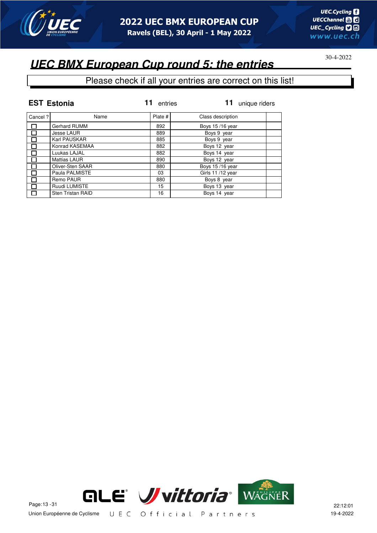

## **UEC BMX European Cup round 5: the entries**

|          | <b>EST Estonia</b>       | entries | unique riders     |
|----------|--------------------------|---------|-------------------|
| Cancel ? | Name                     | Plate # | Class description |
|          | <b>Gerhard RUMM</b>      | 892     | Boys 15/16 year   |
|          | Jesse LAUR               | 889     | Boys 9 year       |
|          | Karl PAUSKAR             | 885     | Boys 9 year       |
| П        | Konrad KASEMAA           | 882     | Boys 12 year      |
|          | Luukas LAJAL             | 882     | Boys 14 year      |
|          | <b>Mattias LAUR</b>      | 890     | Boys 12 year      |
|          | Oliver-Sten SAAR         | 880     | Boys 15/16 year   |
| П        | Paula PALMISTE           | 03      | Girls 11/12 year  |
|          | Remo PAUR                | 880     | Boys 8 year       |
|          | Ruudi LUMISTE            | 15      | Boys 13 year      |
| П        | <b>Sten Tristan RAID</b> | 16      | Boys 14 year      |

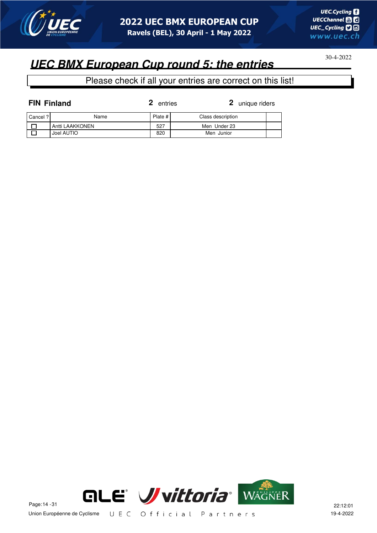

## **UEC BMX European Cup round 5: the entries**

| <b>FIN Finland</b> |                 | entries | 2 unique riders   |  |
|--------------------|-----------------|---------|-------------------|--|
| Cancel ?           | Name            | Plate # | Class description |  |
|                    | Antti LAAKKONEN | 527     | Men Under 23      |  |
|                    | Joel AUTIO      | 820     | Men Junior        |  |

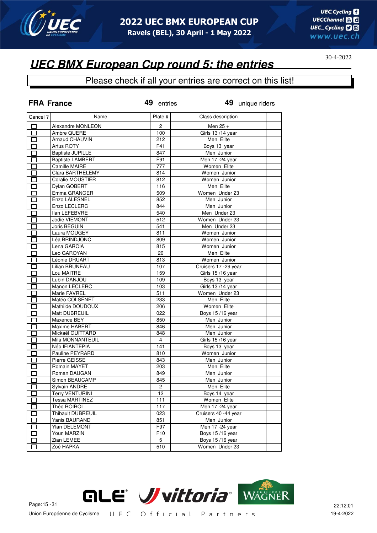

#### Please check if all your entries are correct on this list!

|                           | <b>FRA France</b>                       | 49 entries           | 49 unique riders            |
|---------------------------|-----------------------------------------|----------------------|-----------------------------|
| Cancel ?                  | Name                                    | Plate #              | Class description           |
| П                         | Alexandre MONLEON                       | 2                    | Men $25 +$                  |
| П                         | Ambre QUERE                             | 100                  | Girls 13/14 year            |
| П                         | Arnaud CHAUVIN                          | 212                  | Men Elite                   |
| E.                        | Artus ROTY                              | F41                  | Boys 13 year                |
| П                         | <b>Baptiste JUPILLE</b>                 | 847                  | Men Junior                  |
| П                         | <b>Baptiste LAMBERT</b>                 | F91                  | Men 17 -24 year             |
| П                         | Camille MAIRE                           | 777                  | Women Elite                 |
| П                         | Clara BARTHELEMY                        | 814                  | Women Junior                |
| П                         | Coralie MOUSTIER                        | 812                  | Women Junior                |
| $\Box$                    | Dylan GOBERT                            | 116                  | Men Elite                   |
| $\Box$                    | Emma GRANGER                            | 509                  | Women Under 23              |
| П                         | Enzo LALESNEL                           | 852                  | Men Junior                  |
| П                         | Enzo LECLERC                            | 844                  | Men Junior                  |
| $\Box$                    | <b>Ilan LEFEBVRE</b>                    | 540                  | Men Under 23                |
| П                         | Jodie VIEMONT                           | 512                  | Women Under 23              |
| П                         | Joris BEGUIN                            | 541                  | Men Under 23                |
| П                         | Laura MOUGEY                            | 811                  | Women Junior                |
| П                         | Léa BRINDJONC                           | 809                  | Women Junior                |
| $\Box$                    | Lena GARCIA                             | 815                  | Women Junior                |
| П                         | Leo GAROYAN                             | 20                   | Men Elite                   |
| П                         | Léonie DRUART                           | 813                  | Women Junior                |
| П                         | Lilian BRUNEAU                          | 107                  | Cruisers 17 -29 year        |
| П                         | Lou MAITRE                              | 159                  | Girls 15 /16 year           |
| П                         | Lubin DANJOU                            | 109                  | Boys 13 year                |
| П                         | Manon LECLERC                           | 103                  | Girls 13/14 year            |
| П                         | Marie FAVREL                            | 511                  | Women Under 23              |
| П                         | Matéo COLSENET                          | 233                  | Men Elite                   |
| E.                        | Mathilde DOUDOUX                        | 206                  | Women Elite                 |
|                           | Matt DUBREUIL                           | 022                  | Boys 15/16 year             |
| $\overline{\phantom{0}}$  | Maxence BEY                             | 850                  | Men Junior                  |
| П                         | Maxime HABERT                           | 846                  | Men Junior                  |
| Π                         | Mickaël GUITTARD                        | 848                  | Men Junior                  |
| П                         | Mila MONNANTEUIL                        | $\overline{4}$       | Girls 15/16 year            |
| $\overline{\phantom{0}}$  | Néo IFIANTEPIA                          | 141                  | Boys 13 year                |
| П                         | Pauline PEYRARD                         | 810                  | Women Junior                |
| П                         | Pierre GEISSE                           | 843                  | Men Junior                  |
| <u>Litro de la propia</u> | Romain MAYET                            | 203                  | Men Elite                   |
| E.                        | Roman DAUGAN                            |                      | Men Junior                  |
|                           | Simon BEAUCAMP                          | 849<br>845           |                             |
| П                         |                                         |                      | Men Junior<br>Men Elite     |
|                           | Sylvain ANDRE<br><b>Terry VENTURINI</b> | $\overline{c}$<br>12 |                             |
|                           |                                         |                      | Boys 14 year<br>Women Elite |
| Г                         | <b>Tessa MARTINEZ</b>                   | 111                  | Men 17 - 24 year            |
| П                         | Théo ROIROI                             | 117                  |                             |
| П                         | Thibault DUBREUIL                       | 023                  | Cruisers 40 -44 year        |
| $\Box$                    | Yanis BAURAND                           | 851                  | Men Junior                  |
| П                         | Ylan DELEMONT                           | F97                  | Men 17 - 24 year            |
| $\Box$                    | Youn MARZIN                             | F10                  | Boys 15/16 year             |
|                           | Zian LEMEE                              | 5                    | Boys 15/16 year             |
| П                         | Zoé HAPKA                               | 510                  | Women Under 23              |

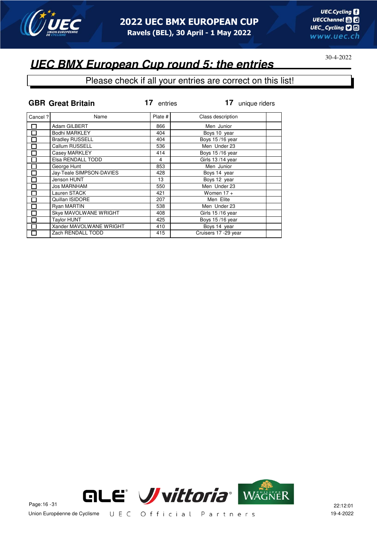

### **UEC BMX European Cup round 5: the entries**

### Please check if all your entries are correct on this list!

|                          | <b>GBR Great Britain</b> | 17<br>entries | 17<br>unique riders   |  |
|--------------------------|--------------------------|---------------|-----------------------|--|
| Cancel ?                 | Name                     | Plate #       | Class description     |  |
|                          | Adam GILBERT             | 866           | Men Junior            |  |
| П                        | Bodhi MARKLEY            | 404           | Boys 10 year          |  |
|                          | <b>Bradley RUSSELL</b>   | 404           | Boys 15/16 year       |  |
| $\Box$                   | Callum RUSSELL           | 536           | Men Under 23          |  |
| $\overline{\phantom{a}}$ | Casey MARKLEY            | 414           | Boys 15/16 year       |  |
| П                        | Elsa RENDALL TODD        | 4             | Girls 13/14 year      |  |
| $\Box$                   | George Hunt              | 853           | Men Junior            |  |
|                          | Jay-Teale SIMPSON-DAVIES | 428           | Boys 14 year          |  |
|                          | Jenson HUNT              | 13            | Boys 12 year          |  |
| Π                        | <b>Jos MARNHAM</b>       | 550           | Men Under 23          |  |
|                          | Lauren STACK             | 421           | Women $17 +$          |  |
| $\Box$                   | Quillan ISIDORE          | 207           | Men Elite             |  |
| $\Box$                   | <b>Ryan MARTIN</b>       | 538           | Men Under 23          |  |
|                          | Skye MAVOLWANE WRIGHT    | 408           | Girls 15/16 year      |  |
|                          | <b>Taylor HUNT</b>       | 425           | Boys 15/16 year       |  |
|                          | Xander MAVOLWANE WRIGHT  | 410           | Boys 14 year          |  |
|                          | Zach RENDALL TODD        | 415           | Cruisers 17 - 29 year |  |



Union Européenne de Cyclisme UEC Official Partners 19-4-2022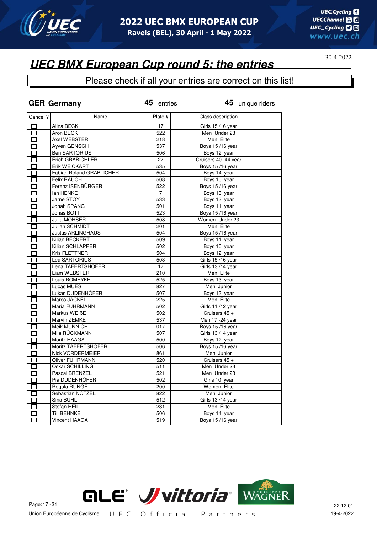

#### Please check if all your entries are correct on this list!

| Cancel ?<br>Plate #<br>Name<br>Class description<br>Alina BECK<br>□<br>17<br>Girls 15/16 year<br>Aron BECK<br>522<br>口<br>Men Under 23<br>Men Elite<br>П<br>Axel WEBSTER<br>218<br>Ayven GENSCH<br>537<br>Boys 15/16 year<br>П<br><b>Ben SARTORIUS</b><br>Boys 12 year<br>506<br>П<br>Cruisers 40 -44 year<br>Erich GRABICHLER<br>27<br>П<br>Erik WEICKART<br>535<br><b>Boys 15/16 year</b><br>П<br><b>Fabian Roland GRABLICHER</b><br>504<br>Boys 14 year<br>口<br>$\overline{\Box}$<br>Felix RAUCH<br>508<br>Boys 10 year<br>□<br>Ferenz ISENBÜRGER<br><b>Boys 15/16 year</b><br>522<br>П<br>$\overline{7}$<br>Boys 13 year<br>lan HENKE<br>Boys 13 year<br>Jarne STOY<br>533<br>$\Box$<br>Jonah SPANG<br>501<br>Boys 11 year<br>П<br>523<br>Boys 15/16 year<br>Jonas BOTT<br>$\Box$<br>Julia MÖHSER<br>Women Under 23<br>508<br>П<br>Men Elite<br>Julian SCHMIDT<br>201<br>□<br><b>Justus ARLINGHAUS</b><br>504<br><b>Boys 15/16 year</b><br>□<br>□<br>Kilian BECKERT<br>509<br>Boys 11 year<br>Kilian SCHLAPPER<br>502<br>Boys 10 year<br>П<br>Kris FLETTNER<br>504<br>Boys 12 year<br>П<br>503<br>Lea SARTORIUS<br>Girls 15/16 year<br>П<br>Lena TAFERTSHOFER<br>17<br>Girls 13/14 year<br>П<br>Liam WEBSTER<br>210<br>Men Elite<br>П<br>Louis ROMEYKE<br>525<br>Boys 13 year<br>П<br>Men Junior<br>Lucas MUES<br>827<br>П<br>Lukas DUDENHÖFER<br>507<br>Boys 13 year<br>П<br>Marco JÄCKEL<br>225<br>Men Elite<br>П<br>Maria FUHRMANN<br>Girls 11 /12 year<br>口<br>502<br>Markus WEIBE<br>502<br>Cruisers 45 +<br>П<br>Marvin ZEMKE<br>537<br>Men 17 - 24 year<br>П<br>$\Box$<br>Meik MÜNNICH<br>017<br>Boys 15/16 year<br>Girls 13/14 year<br>П<br>Mila RÜCKMANN<br>507<br>Moritz HAAGA<br>500<br>Boys 12 year<br>$\Box$<br>Moritz TAFERTSHOFER<br>506<br>Boys 15/16 year<br>□<br>861<br>Men Junior<br>Nick VORDERMEIER<br>П<br>520<br><b>Oliver FUHRMANN</b><br>Cruisers 45 +<br>П<br>$\overline{511}$<br>Oskar SCHILLING<br>Men Under 23<br>П<br>Pascal BRENZEL<br>521<br>Men Under 23<br>П<br>Pia DUDENHÖFER<br>502<br>Girls 10 year<br>П<br>Regula RUNGE<br>200<br>Women Elite<br>П<br>Sebastian NÖTZEL<br>Men Junior<br>822<br>П<br>Sina BUHL<br>512<br>Girls 13/14 year<br>П<br>Men Elite<br>Stefan HEIL<br>231<br>П<br>Boys 14 year<br><b>Till BEHNKE</b><br>506<br>口<br>$\overline{\Box}$<br>Vincent HAAGA<br>519<br>Boys 15/16 year | <b>GER Germany</b> | 45 entries | 45 unique riders |  |
|---------------------------------------------------------------------------------------------------------------------------------------------------------------------------------------------------------------------------------------------------------------------------------------------------------------------------------------------------------------------------------------------------------------------------------------------------------------------------------------------------------------------------------------------------------------------------------------------------------------------------------------------------------------------------------------------------------------------------------------------------------------------------------------------------------------------------------------------------------------------------------------------------------------------------------------------------------------------------------------------------------------------------------------------------------------------------------------------------------------------------------------------------------------------------------------------------------------------------------------------------------------------------------------------------------------------------------------------------------------------------------------------------------------------------------------------------------------------------------------------------------------------------------------------------------------------------------------------------------------------------------------------------------------------------------------------------------------------------------------------------------------------------------------------------------------------------------------------------------------------------------------------------------------------------------------------------------------------------------------------------------------------------------------------------------------------------------------------------------------------------------------------------------------------------------------------------------------------------------------------------------------------------------------------------------------------------------------------------|--------------------|------------|------------------|--|
|                                                                                                                                                                                                                                                                                                                                                                                                                                                                                                                                                                                                                                                                                                                                                                                                                                                                                                                                                                                                                                                                                                                                                                                                                                                                                                                                                                                                                                                                                                                                                                                                                                                                                                                                                                                                                                                                                                                                                                                                                                                                                                                                                                                                                                                                                                                                                   |                    |            |                  |  |
|                                                                                                                                                                                                                                                                                                                                                                                                                                                                                                                                                                                                                                                                                                                                                                                                                                                                                                                                                                                                                                                                                                                                                                                                                                                                                                                                                                                                                                                                                                                                                                                                                                                                                                                                                                                                                                                                                                                                                                                                                                                                                                                                                                                                                                                                                                                                                   |                    |            |                  |  |
|                                                                                                                                                                                                                                                                                                                                                                                                                                                                                                                                                                                                                                                                                                                                                                                                                                                                                                                                                                                                                                                                                                                                                                                                                                                                                                                                                                                                                                                                                                                                                                                                                                                                                                                                                                                                                                                                                                                                                                                                                                                                                                                                                                                                                                                                                                                                                   |                    |            |                  |  |
|                                                                                                                                                                                                                                                                                                                                                                                                                                                                                                                                                                                                                                                                                                                                                                                                                                                                                                                                                                                                                                                                                                                                                                                                                                                                                                                                                                                                                                                                                                                                                                                                                                                                                                                                                                                                                                                                                                                                                                                                                                                                                                                                                                                                                                                                                                                                                   |                    |            |                  |  |
|                                                                                                                                                                                                                                                                                                                                                                                                                                                                                                                                                                                                                                                                                                                                                                                                                                                                                                                                                                                                                                                                                                                                                                                                                                                                                                                                                                                                                                                                                                                                                                                                                                                                                                                                                                                                                                                                                                                                                                                                                                                                                                                                                                                                                                                                                                                                                   |                    |            |                  |  |
|                                                                                                                                                                                                                                                                                                                                                                                                                                                                                                                                                                                                                                                                                                                                                                                                                                                                                                                                                                                                                                                                                                                                                                                                                                                                                                                                                                                                                                                                                                                                                                                                                                                                                                                                                                                                                                                                                                                                                                                                                                                                                                                                                                                                                                                                                                                                                   |                    |            |                  |  |
|                                                                                                                                                                                                                                                                                                                                                                                                                                                                                                                                                                                                                                                                                                                                                                                                                                                                                                                                                                                                                                                                                                                                                                                                                                                                                                                                                                                                                                                                                                                                                                                                                                                                                                                                                                                                                                                                                                                                                                                                                                                                                                                                                                                                                                                                                                                                                   |                    |            |                  |  |
|                                                                                                                                                                                                                                                                                                                                                                                                                                                                                                                                                                                                                                                                                                                                                                                                                                                                                                                                                                                                                                                                                                                                                                                                                                                                                                                                                                                                                                                                                                                                                                                                                                                                                                                                                                                                                                                                                                                                                                                                                                                                                                                                                                                                                                                                                                                                                   |                    |            |                  |  |
|                                                                                                                                                                                                                                                                                                                                                                                                                                                                                                                                                                                                                                                                                                                                                                                                                                                                                                                                                                                                                                                                                                                                                                                                                                                                                                                                                                                                                                                                                                                                                                                                                                                                                                                                                                                                                                                                                                                                                                                                                                                                                                                                                                                                                                                                                                                                                   |                    |            |                  |  |
|                                                                                                                                                                                                                                                                                                                                                                                                                                                                                                                                                                                                                                                                                                                                                                                                                                                                                                                                                                                                                                                                                                                                                                                                                                                                                                                                                                                                                                                                                                                                                                                                                                                                                                                                                                                                                                                                                                                                                                                                                                                                                                                                                                                                                                                                                                                                                   |                    |            |                  |  |
|                                                                                                                                                                                                                                                                                                                                                                                                                                                                                                                                                                                                                                                                                                                                                                                                                                                                                                                                                                                                                                                                                                                                                                                                                                                                                                                                                                                                                                                                                                                                                                                                                                                                                                                                                                                                                                                                                                                                                                                                                                                                                                                                                                                                                                                                                                                                                   |                    |            |                  |  |
|                                                                                                                                                                                                                                                                                                                                                                                                                                                                                                                                                                                                                                                                                                                                                                                                                                                                                                                                                                                                                                                                                                                                                                                                                                                                                                                                                                                                                                                                                                                                                                                                                                                                                                                                                                                                                                                                                                                                                                                                                                                                                                                                                                                                                                                                                                                                                   |                    |            |                  |  |
|                                                                                                                                                                                                                                                                                                                                                                                                                                                                                                                                                                                                                                                                                                                                                                                                                                                                                                                                                                                                                                                                                                                                                                                                                                                                                                                                                                                                                                                                                                                                                                                                                                                                                                                                                                                                                                                                                                                                                                                                                                                                                                                                                                                                                                                                                                                                                   |                    |            |                  |  |
|                                                                                                                                                                                                                                                                                                                                                                                                                                                                                                                                                                                                                                                                                                                                                                                                                                                                                                                                                                                                                                                                                                                                                                                                                                                                                                                                                                                                                                                                                                                                                                                                                                                                                                                                                                                                                                                                                                                                                                                                                                                                                                                                                                                                                                                                                                                                                   |                    |            |                  |  |
|                                                                                                                                                                                                                                                                                                                                                                                                                                                                                                                                                                                                                                                                                                                                                                                                                                                                                                                                                                                                                                                                                                                                                                                                                                                                                                                                                                                                                                                                                                                                                                                                                                                                                                                                                                                                                                                                                                                                                                                                                                                                                                                                                                                                                                                                                                                                                   |                    |            |                  |  |
|                                                                                                                                                                                                                                                                                                                                                                                                                                                                                                                                                                                                                                                                                                                                                                                                                                                                                                                                                                                                                                                                                                                                                                                                                                                                                                                                                                                                                                                                                                                                                                                                                                                                                                                                                                                                                                                                                                                                                                                                                                                                                                                                                                                                                                                                                                                                                   |                    |            |                  |  |
|                                                                                                                                                                                                                                                                                                                                                                                                                                                                                                                                                                                                                                                                                                                                                                                                                                                                                                                                                                                                                                                                                                                                                                                                                                                                                                                                                                                                                                                                                                                                                                                                                                                                                                                                                                                                                                                                                                                                                                                                                                                                                                                                                                                                                                                                                                                                                   |                    |            |                  |  |
|                                                                                                                                                                                                                                                                                                                                                                                                                                                                                                                                                                                                                                                                                                                                                                                                                                                                                                                                                                                                                                                                                                                                                                                                                                                                                                                                                                                                                                                                                                                                                                                                                                                                                                                                                                                                                                                                                                                                                                                                                                                                                                                                                                                                                                                                                                                                                   |                    |            |                  |  |
|                                                                                                                                                                                                                                                                                                                                                                                                                                                                                                                                                                                                                                                                                                                                                                                                                                                                                                                                                                                                                                                                                                                                                                                                                                                                                                                                                                                                                                                                                                                                                                                                                                                                                                                                                                                                                                                                                                                                                                                                                                                                                                                                                                                                                                                                                                                                                   |                    |            |                  |  |
|                                                                                                                                                                                                                                                                                                                                                                                                                                                                                                                                                                                                                                                                                                                                                                                                                                                                                                                                                                                                                                                                                                                                                                                                                                                                                                                                                                                                                                                                                                                                                                                                                                                                                                                                                                                                                                                                                                                                                                                                                                                                                                                                                                                                                                                                                                                                                   |                    |            |                  |  |
|                                                                                                                                                                                                                                                                                                                                                                                                                                                                                                                                                                                                                                                                                                                                                                                                                                                                                                                                                                                                                                                                                                                                                                                                                                                                                                                                                                                                                                                                                                                                                                                                                                                                                                                                                                                                                                                                                                                                                                                                                                                                                                                                                                                                                                                                                                                                                   |                    |            |                  |  |
|                                                                                                                                                                                                                                                                                                                                                                                                                                                                                                                                                                                                                                                                                                                                                                                                                                                                                                                                                                                                                                                                                                                                                                                                                                                                                                                                                                                                                                                                                                                                                                                                                                                                                                                                                                                                                                                                                                                                                                                                                                                                                                                                                                                                                                                                                                                                                   |                    |            |                  |  |
|                                                                                                                                                                                                                                                                                                                                                                                                                                                                                                                                                                                                                                                                                                                                                                                                                                                                                                                                                                                                                                                                                                                                                                                                                                                                                                                                                                                                                                                                                                                                                                                                                                                                                                                                                                                                                                                                                                                                                                                                                                                                                                                                                                                                                                                                                                                                                   |                    |            |                  |  |
|                                                                                                                                                                                                                                                                                                                                                                                                                                                                                                                                                                                                                                                                                                                                                                                                                                                                                                                                                                                                                                                                                                                                                                                                                                                                                                                                                                                                                                                                                                                                                                                                                                                                                                                                                                                                                                                                                                                                                                                                                                                                                                                                                                                                                                                                                                                                                   |                    |            |                  |  |
|                                                                                                                                                                                                                                                                                                                                                                                                                                                                                                                                                                                                                                                                                                                                                                                                                                                                                                                                                                                                                                                                                                                                                                                                                                                                                                                                                                                                                                                                                                                                                                                                                                                                                                                                                                                                                                                                                                                                                                                                                                                                                                                                                                                                                                                                                                                                                   |                    |            |                  |  |
|                                                                                                                                                                                                                                                                                                                                                                                                                                                                                                                                                                                                                                                                                                                                                                                                                                                                                                                                                                                                                                                                                                                                                                                                                                                                                                                                                                                                                                                                                                                                                                                                                                                                                                                                                                                                                                                                                                                                                                                                                                                                                                                                                                                                                                                                                                                                                   |                    |            |                  |  |
|                                                                                                                                                                                                                                                                                                                                                                                                                                                                                                                                                                                                                                                                                                                                                                                                                                                                                                                                                                                                                                                                                                                                                                                                                                                                                                                                                                                                                                                                                                                                                                                                                                                                                                                                                                                                                                                                                                                                                                                                                                                                                                                                                                                                                                                                                                                                                   |                    |            |                  |  |
|                                                                                                                                                                                                                                                                                                                                                                                                                                                                                                                                                                                                                                                                                                                                                                                                                                                                                                                                                                                                                                                                                                                                                                                                                                                                                                                                                                                                                                                                                                                                                                                                                                                                                                                                                                                                                                                                                                                                                                                                                                                                                                                                                                                                                                                                                                                                                   |                    |            |                  |  |
|                                                                                                                                                                                                                                                                                                                                                                                                                                                                                                                                                                                                                                                                                                                                                                                                                                                                                                                                                                                                                                                                                                                                                                                                                                                                                                                                                                                                                                                                                                                                                                                                                                                                                                                                                                                                                                                                                                                                                                                                                                                                                                                                                                                                                                                                                                                                                   |                    |            |                  |  |
|                                                                                                                                                                                                                                                                                                                                                                                                                                                                                                                                                                                                                                                                                                                                                                                                                                                                                                                                                                                                                                                                                                                                                                                                                                                                                                                                                                                                                                                                                                                                                                                                                                                                                                                                                                                                                                                                                                                                                                                                                                                                                                                                                                                                                                                                                                                                                   |                    |            |                  |  |
|                                                                                                                                                                                                                                                                                                                                                                                                                                                                                                                                                                                                                                                                                                                                                                                                                                                                                                                                                                                                                                                                                                                                                                                                                                                                                                                                                                                                                                                                                                                                                                                                                                                                                                                                                                                                                                                                                                                                                                                                                                                                                                                                                                                                                                                                                                                                                   |                    |            |                  |  |
|                                                                                                                                                                                                                                                                                                                                                                                                                                                                                                                                                                                                                                                                                                                                                                                                                                                                                                                                                                                                                                                                                                                                                                                                                                                                                                                                                                                                                                                                                                                                                                                                                                                                                                                                                                                                                                                                                                                                                                                                                                                                                                                                                                                                                                                                                                                                                   |                    |            |                  |  |
|                                                                                                                                                                                                                                                                                                                                                                                                                                                                                                                                                                                                                                                                                                                                                                                                                                                                                                                                                                                                                                                                                                                                                                                                                                                                                                                                                                                                                                                                                                                                                                                                                                                                                                                                                                                                                                                                                                                                                                                                                                                                                                                                                                                                                                                                                                                                                   |                    |            |                  |  |
|                                                                                                                                                                                                                                                                                                                                                                                                                                                                                                                                                                                                                                                                                                                                                                                                                                                                                                                                                                                                                                                                                                                                                                                                                                                                                                                                                                                                                                                                                                                                                                                                                                                                                                                                                                                                                                                                                                                                                                                                                                                                                                                                                                                                                                                                                                                                                   |                    |            |                  |  |
|                                                                                                                                                                                                                                                                                                                                                                                                                                                                                                                                                                                                                                                                                                                                                                                                                                                                                                                                                                                                                                                                                                                                                                                                                                                                                                                                                                                                                                                                                                                                                                                                                                                                                                                                                                                                                                                                                                                                                                                                                                                                                                                                                                                                                                                                                                                                                   |                    |            |                  |  |
|                                                                                                                                                                                                                                                                                                                                                                                                                                                                                                                                                                                                                                                                                                                                                                                                                                                                                                                                                                                                                                                                                                                                                                                                                                                                                                                                                                                                                                                                                                                                                                                                                                                                                                                                                                                                                                                                                                                                                                                                                                                                                                                                                                                                                                                                                                                                                   |                    |            |                  |  |
|                                                                                                                                                                                                                                                                                                                                                                                                                                                                                                                                                                                                                                                                                                                                                                                                                                                                                                                                                                                                                                                                                                                                                                                                                                                                                                                                                                                                                                                                                                                                                                                                                                                                                                                                                                                                                                                                                                                                                                                                                                                                                                                                                                                                                                                                                                                                                   |                    |            |                  |  |
|                                                                                                                                                                                                                                                                                                                                                                                                                                                                                                                                                                                                                                                                                                                                                                                                                                                                                                                                                                                                                                                                                                                                                                                                                                                                                                                                                                                                                                                                                                                                                                                                                                                                                                                                                                                                                                                                                                                                                                                                                                                                                                                                                                                                                                                                                                                                                   |                    |            |                  |  |
|                                                                                                                                                                                                                                                                                                                                                                                                                                                                                                                                                                                                                                                                                                                                                                                                                                                                                                                                                                                                                                                                                                                                                                                                                                                                                                                                                                                                                                                                                                                                                                                                                                                                                                                                                                                                                                                                                                                                                                                                                                                                                                                                                                                                                                                                                                                                                   |                    |            |                  |  |
|                                                                                                                                                                                                                                                                                                                                                                                                                                                                                                                                                                                                                                                                                                                                                                                                                                                                                                                                                                                                                                                                                                                                                                                                                                                                                                                                                                                                                                                                                                                                                                                                                                                                                                                                                                                                                                                                                                                                                                                                                                                                                                                                                                                                                                                                                                                                                   |                    |            |                  |  |
|                                                                                                                                                                                                                                                                                                                                                                                                                                                                                                                                                                                                                                                                                                                                                                                                                                                                                                                                                                                                                                                                                                                                                                                                                                                                                                                                                                                                                                                                                                                                                                                                                                                                                                                                                                                                                                                                                                                                                                                                                                                                                                                                                                                                                                                                                                                                                   |                    |            |                  |  |
|                                                                                                                                                                                                                                                                                                                                                                                                                                                                                                                                                                                                                                                                                                                                                                                                                                                                                                                                                                                                                                                                                                                                                                                                                                                                                                                                                                                                                                                                                                                                                                                                                                                                                                                                                                                                                                                                                                                                                                                                                                                                                                                                                                                                                                                                                                                                                   |                    |            |                  |  |
|                                                                                                                                                                                                                                                                                                                                                                                                                                                                                                                                                                                                                                                                                                                                                                                                                                                                                                                                                                                                                                                                                                                                                                                                                                                                                                                                                                                                                                                                                                                                                                                                                                                                                                                                                                                                                                                                                                                                                                                                                                                                                                                                                                                                                                                                                                                                                   |                    |            |                  |  |
|                                                                                                                                                                                                                                                                                                                                                                                                                                                                                                                                                                                                                                                                                                                                                                                                                                                                                                                                                                                                                                                                                                                                                                                                                                                                                                                                                                                                                                                                                                                                                                                                                                                                                                                                                                                                                                                                                                                                                                                                                                                                                                                                                                                                                                                                                                                                                   |                    |            |                  |  |
|                                                                                                                                                                                                                                                                                                                                                                                                                                                                                                                                                                                                                                                                                                                                                                                                                                                                                                                                                                                                                                                                                                                                                                                                                                                                                                                                                                                                                                                                                                                                                                                                                                                                                                                                                                                                                                                                                                                                                                                                                                                                                                                                                                                                                                                                                                                                                   |                    |            |                  |  |
|                                                                                                                                                                                                                                                                                                                                                                                                                                                                                                                                                                                                                                                                                                                                                                                                                                                                                                                                                                                                                                                                                                                                                                                                                                                                                                                                                                                                                                                                                                                                                                                                                                                                                                                                                                                                                                                                                                                                                                                                                                                                                                                                                                                                                                                                                                                                                   |                    |            |                  |  |

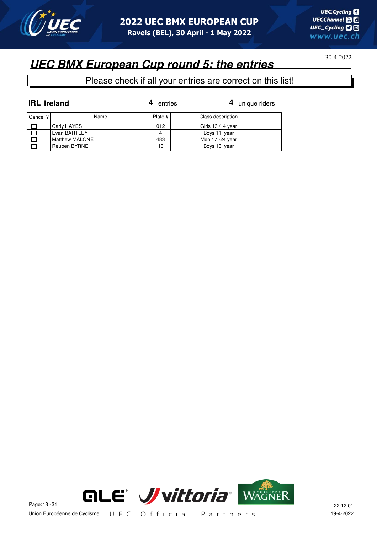

## **UEC BMX European Cup round 5: the entries**

| <b>IRL</b> Ireland |                | entries | 4 unique riders   |  |
|--------------------|----------------|---------|-------------------|--|
| Cancel ?           | Name           | Plate # | Class description |  |
|                    | Carly HAYES    | 012     | Girls 13/14 year  |  |
|                    | Evan BARTLEY   |         | Boys 11 year      |  |
|                    | Matthew MALONE | 483     | Men 17 -24 year   |  |
|                    | Reuben BYRNE   | 13      | Boys 13 year      |  |

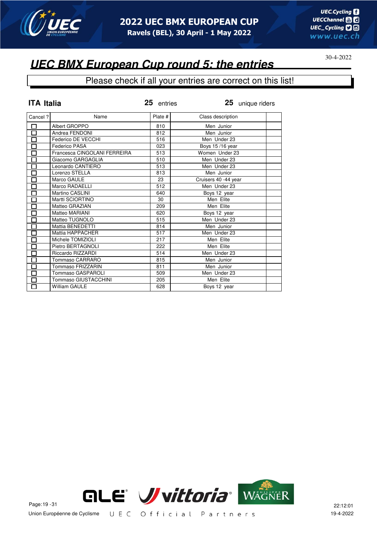

### **UEC BMX European Cup round 5: the entries**

| <b>ITA Italia</b>            |                              | 25 entries | 25 unique riders     |  |
|------------------------------|------------------------------|------------|----------------------|--|
| Cancel?                      | Name                         | Plate #    | Class description    |  |
| 囗                            | Albert GROPPO                | 810        | Men Junior           |  |
| $\Box$                       | Andrea FENDONI               | 812        | Men Junior           |  |
| $\Box$                       | Federico DE VECCHI           | 516        | Men Under 23         |  |
| $\overline{\Box}$            | Federico PASA                | 023        | Boys 15/16 year      |  |
| $\Box$                       | Francesca CINGOLANI FERREIRA | 513        | Women Under 23       |  |
| $\overline{\Box}$            | Giacomo GARGAGLIA            | 510        | Men Under 23         |  |
| $\Box$                       | Leonardo CANTIERO            | 513        | Men Under 23         |  |
| $\Box$                       | Lorenzo STELLA               | 813        | Men Junior           |  |
| $\overline{\overline{\Box}}$ | Marco GAULE                  | 23         | Cruisers 40 -44 year |  |
| $\Box$                       | Marco RADAELLI               | 512        | Men Under 23         |  |
| $\Box$                       | Martino CASLINI              | 640        | Boys 12 year         |  |
| $\Box$                       | Martti SCIORTINO             | 30         | Men Elite            |  |
| $\Box$                       | Matteo GRAZIAN               | 209        | Men Elite            |  |
| $\overline{\Box}$            | Matteo MARIANI               | 620        | Boys 12 year         |  |
| П                            | Matteo TUGNOLO               | 515        | Men Under 23         |  |
| $\Box$                       | Mattia BENEDETTI             | 814        | Men Junior           |  |
| $\overline{\Box}$            | Mattia HAPPACHER             | 517        | Men Under 23         |  |
| $\Box$                       | Michele TOMIZIOLI            | 217        | Men Elite            |  |
| $\Box$                       | Pietro BERTAGNOLI            | 222        | Men Elite            |  |
| П                            | Riccardo RIZZARDI            | 514        | Men Under 23         |  |
| 囗                            | Tommaso CARRARO              | 815        | Men Junior           |  |
| $\Box$                       | Tommaso FRIZZARIN            | 811        | Men Junior           |  |
| $\overline{\square}$         | <b>Tommaso GASPAROLI</b>     | 509        | Men Under 23         |  |
| $\Box$                       | Tommaso GIUSTACCHINI         | 205        | Men Elite            |  |
| П                            | <b>William GAULE</b>         | 628        | Boys 12 year         |  |

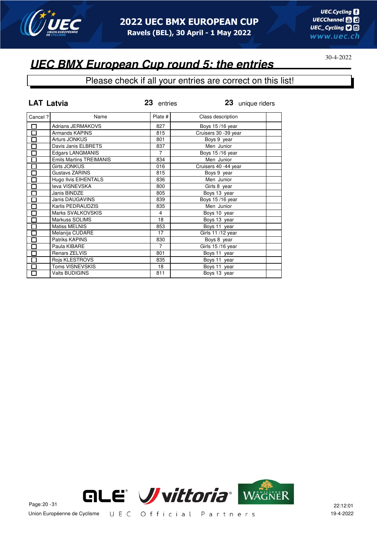

### **UEC BMX European Cup round 5: the entries**

#### Please check if all your entries are correct on this list!

| <b>LAT Latvia</b>    |                                | 23 entries     | 23 unique riders      |  |
|----------------------|--------------------------------|----------------|-----------------------|--|
| Cancel ?             | Name                           | Plate #        | Class description     |  |
| $\Box$               | <b>Adrians JERMAKOVS</b>       | 827            | Boys 15/16 year       |  |
| $\overline{\square}$ | Armands KAPINS                 | 815            | Cruisers 30 - 39 year |  |
| 囗                    | Arturs JONKUS                  | 801            | Boys 9 year           |  |
| 口                    | Davis Janis ELBRETS            | 837            | Men Junior            |  |
| $\Box$               | <b>Edgars LANGMANIS</b>        | $\overline{7}$ | Boys 15/16 year       |  |
| $\Box$               | <b>Emils Martins TREIMANIS</b> | 834            | Men Junior            |  |
| $\Box$               | Girts JONKUS                   | 016            | Cruisers 40 -44 year  |  |
| $\Box$               | Gustavs ZARINS                 | 815            | Boys 9 year           |  |
| $\overline{\Box}$    | Hugo Ilvis EIHENTALS           | 836            | Men Junior            |  |
| $\Box$               | leva VISNEVSKA                 | 800            | Girls 8 year          |  |
| $\Box$               | Janis BINDZE                   | 805            | Boys 13 year          |  |
| $\overline{\square}$ | <b>Janis DAUGAVINS</b>         | 839            | Boys 15/16 year       |  |
| О                    | Karlis PEDRAUDZIS              | 835            | Men Junior            |  |
| $\Box$               | Marks SVALKOVSKIS              | 4              | Boys 10 year          |  |
| $\Box$               | Markuss SOLIMS                 | 18             | Boys 13 year          |  |
| $\Box$               | <b>Matiss MELNIS</b>           | 853            | Boys 11 year          |  |
| $\Box$               | Melanija CUDARE                | 17             | Girls 11/12 year      |  |
| $\overline{\square}$ | Patriks KAPINS                 | 830            | Boys 8 year           |  |
| $\Box$               | Paula KIBARE                   | $\overline{7}$ | Girls 15/16 year      |  |
| $\Box$               | Renars ZELVIS                  | 801            | Boys 11 year          |  |
| $\Box$               | Rojs KLESTROVS                 | 835            | Boys 11 year          |  |
| $\Box$               | Toms VISNEVSKIS                | 18             | Boys 11 year          |  |
| 口                    | <b>Valts BUDIGINS</b>          | 811            | Boys 13 year          |  |



Union Européenne de Cyclisme UEC Official Partners 19-4-2022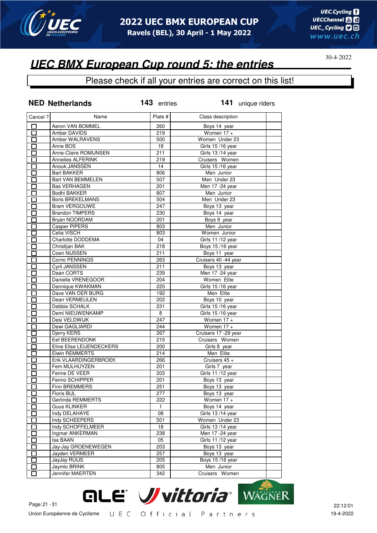

### **UEC BMX European Cup round 5: the entries**

|                          | <b>NED Netherlands</b>    | 143 entries  | 141 unique riders    |
|--------------------------|---------------------------|--------------|----------------------|
| Cancel ?                 | Name                      | Plate #      | Class description    |
| □                        | Aeron VAN BOMMEL          | 260          | Boys 14 year         |
| □                        | Amber DAVIDS              | 219          | Women $17 +$         |
| П                        | Amber WALRAVENS           | 500          | Women Under 23       |
| П                        | Anne BOS                  | 18           | Girls 15/16 year     |
| П                        | Anne-Claire ROMIJNSEN     | 211          | Girls 13 /14 year    |
| П                        | <b>Annelies ALFERINK</b>  | 219          | Cruisers Women       |
| П                        | Anouk JANSSEN             | 14           | Girls 15 /16 year    |
| П                        | <b>Bart BAKKER</b>        | 806          | Men Junior           |
| П                        | Bart VAN BEMMELEN         | 507          | Men Under 23         |
| $\Box$                   | <b>Bas VERHAGEN</b>       | 201          | Men 17 -24 year      |
| $\Box$                   | <b>Bodhi BAKKER</b>       | 807          | Men Junior           |
| $\Box$                   | <b>Boris BREKELMANS</b>   | 504          | Men Under 23         |
| П                        | <b>Bram VERGOUWE</b>      | 247          | Boys 13 year         |
| $\Box$                   | <b>Brandon TIMPERS</b>    | 230          | Boys 14 year         |
| П                        | Bryan NOORDAM             | 201          | Boys 9 year          |
| П                        | <b>Casper PIPERS</b>      | 803          | Men Junior           |
| П                        | Celia VISCH               | 803          | Women Junior         |
| $\Box$                   | Charlotte DODDEMA         | 04           | Girls 11 /12 year    |
| 口                        | Christijan BAK            | 218          | Boys 15/16 year      |
| П                        | Coen NIJSSEN              | 211          | Boys 11 year         |
| П                        | Corno PENNINGS            | 263          | Cruisers 40 -44 year |
| $\Box$                   | Cyril JANSSEN             | 211          | Boys 13 year         |
| $\Box$                   | Daan CORTS                | 239          | Men 17 - 24 year     |
| П                        | Danielle VRENEGOOR        | 204          | Women Elite          |
| П                        | Dannique KWAKMAN          | 220          | Girls 15/16 year     |
| $\Box$                   | Dave VAN DER BURG         | 192          | Men Elite            |
| П                        | Dean VERMEULEN            | 202          | Boys 10 year         |
| E.                       | Debbie SCHALK             | 231          | Girls 15/16 year     |
| Π                        | Demi NIEUWENKAMP          | 8            | Girls 15/16 year     |
| Ī                        | Desi VELDWIJK             | 247          | Women $17 +$         |
| П                        | Dewi GAGLIARDI            | 244          | Women $17 +$         |
| Π                        | Djerry KERS               | 267          | Cruisers 17 -29 year |
| П                        | Eef BEERENDONK            | 215          | Cruisers Women       |
| $\Box$                   | Eline Elise LEIJENDECKERS | 200          | Girls 8 year         |
| П                        | <b>Elwin REMMERTS</b>     | 214          | Men Elite            |
| П                        | Erik VLAARDINGERBROEK     | 266          | Cruisers 45 +        |
| П                        | Fem MULHUYZEN             | 201          | Girls 7 year         |
| E.                       | Fenne DE VEER             | 203          | Girls 11 /12 year    |
| □                        | Fenno SCHIPPER            | 201          | Boys 13 year         |
|                          | Finn BREMMERS             | 251          | Boys 13 year         |
| П                        | Floris BIJL               | 277          | Boys 13 year         |
| П                        | Gerlinda REMMERTS         | 222          | Women $17 +$         |
| $\Box$                   | <b>Guus KLINKER</b>       | $\mathbf{1}$ | Boys 14 year         |
| П                        | Indy DELAHAYE             | 08           | Girls 13/14 year     |
| $\Box$                   | Indy SCHEEPERS            | 501          | Women Under 23       |
| П                        | Indy SCHOFFELMEER         | 18           | Girls 13/14 year     |
| $\Box$                   | Ingmar ANKERMAN           | 238          | Men 17 - 24 year     |
| $\Box$                   | Isa BAAN                  | 05           | Girls 11 /12 year    |
| П                        | Jay-Jay GROENEWEGEN       | 203          | Boys 13 year         |
| ឴ា                       | Jayden VERMEER            | 257          | Boys 13 year         |
| ப                        | JayJay RUIJS              | 205          | Boys 15/16 year      |
| $\overline{\phantom{a}}$ | Jaymio BRINK              | 805          | Men Junior           |
| П                        | Jennifer MAERTEN          | 342          | Cruisers Women       |
|                          |                           |              |                      |

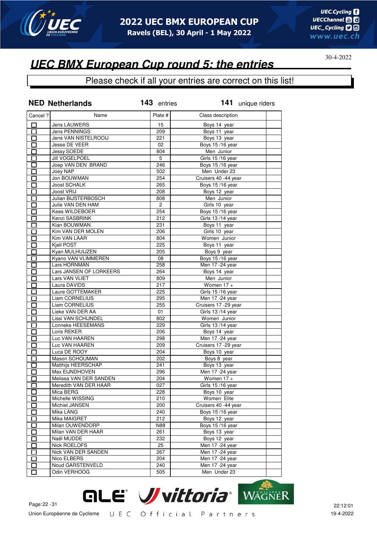

### Please check if all your entries are correct on this list!

|                                                      | <b>NED Netherlands</b>  | 143 entries    | 141 unique riders               |
|------------------------------------------------------|-------------------------|----------------|---------------------------------|
| Cancel ?                                             | Name                    | Plate #        | Class description               |
| $\Box$                                               | Jens LAUWERS            | 15             | Boys 14 year                    |
| 口                                                    | Jens PENNINGS           | 209            | Boys 11 year                    |
| П                                                    | Jens VAN NISTELROOIJ    | 221            | Boys 13 year                    |
| П                                                    | Jesse DE VEER           | 02             | Boys 15/16 year                 |
| 口                                                    | Jessy SOEDE             | 804            | Men Junior                      |
| П                                                    | <b>Jill VOGELPOEL</b>   | 5              | Girls 15/16 year                |
| П                                                    | Joep VAN DEN BRAND      | 246            | Boys 15/16 year                 |
| $\Box$                                               | Joey NAP                | 502            | Men Under 23                    |
| $\Box$                                               | Jon BOUWMAN             | 254            | Cruisers 40 -44 year            |
| Ó                                                    | <b>Joost SCHALK</b>     | 265            | Boys 15/16 year                 |
| П                                                    | Joost VRIJ              | 208            | Boys 12 year                    |
| П                                                    | Julian BIJSTERBOSCH     | 808            | Men Junior                      |
| $\overline{\phantom{0}}$                             | Julie VAN DEN HAM       | $\overline{2}$ | Girls 10 year                   |
| E.                                                   | Kees WILDEBOER          | 254            | Boys 15/16 year                 |
|                                                      | Kenzi SASBRINK          | 212            | Girls 13/14 year                |
| $\overline{\phantom{0}}$                             | Kian BOUWMAN            | 231            | Boys 11 year                    |
| n an an Aonaichte ag an Sualach an 1977.<br>Tagairtí | Kim VAN DER MOLEN       | 206            | Girls 10 year                   |
| П                                                    | Kim VAN LAAR            | 804            | Women Junior                    |
| I.                                                   | Kiell POST              | 225            | Boys 11 year                    |
| П                                                    | Kyan MULHUIJZEN         | 205            | Boys 9 year                     |
| П                                                    | Kyano VAN VLIMMEREN     | 08             | Boys 15/16 year                 |
| П                                                    | Lars HORNMAN            | 258            | Men 17 - 24 year                |
| $\Box$                                               | Lars JANSEN OF LORKEERS | 264            | Boys 14 year                    |
| П                                                    | Lars VAN VLIET          | 809            | Men Junior                      |
| $\Box$                                               | Laura DAVIDS            | 217            | Women $17 +$                    |
| П                                                    | Laure GOTTEMAKER        | 225            | Girls 15/16 year                |
| П                                                    | Liam CORNELIUS          | 295            | Men 17 -24 year                 |
| П                                                    | Liam CORNELIUS          | 255            | Cruisers 17 -29 year            |
| $\Box$                                               | Lieke VAN DER AA        | 01             | Girls 13/14 year                |
| П                                                    | Lissi VAN SCHIJNDEL     | 802            | Women Junior                    |
| П                                                    | Lonneke HEESEMANS       | 229            | Girls 13/14 year                |
| П                                                    | Loris REKER             | 206            | Boys 14 year                    |
| $\Box$                                               | Luc VAN HAAREN          | 298            | Men 17 - 24 year                |
| $\Box$                                               | Luc VAN HAAREN          | 209            | Cruisers 17 - 29 year           |
| П                                                    | Luca DE ROOY            | 204            | Boys 10 year                    |
| П                                                    | Mason SCHOUMAN          | 202            | Boys 8 year                     |
| П                                                    | Matthijs HEERSCHAP      | 241            | Boys 13 year                    |
|                                                      | Max EIJNDHOVEN          | 296            | Men 17 - 24 year                |
| 靣                                                    | Melissa VAN DER SANDEN  | 204            | Women $17 +$                    |
| ப                                                    | Meredith VAN DER HAAR   | 027            | Girls 15/16 year                |
| П                                                    | Mica BERG               | 228            | Boys 10 year                    |
| $\blacksquare$                                       | Michelle WISSING        | 210            | Women Elite                     |
| $\mathbf{I}$                                         | Michiel JANSEN          | 200            | Cruisers 40 -44 year            |
| n an an Aonaichte ag an Sualach an 1977.<br>Tagairtí | Mika LANG               | 240            | Boys 15/16 year                 |
| Π                                                    | Mika MAIGRET            | 212            | Boys 12 year                    |
| $\mathbf{r}$                                         | Milan OUWENDORP         | N88            | Boys 15/16 year                 |
| П                                                    | Milan VAN DER HAAR      | 261            | Boys 13 year                    |
| $\overline{\phantom{0}}$                             | Naël MUDDE              | 232            | Boys 12 year                    |
| $\mathbf{I}$                                         | Nick ROELOFS            | 25             | Men 17 - 24 year                |
|                                                      | Nick VAN DER SANDEN     | 267            | Men 17 - 24 year                |
| $\mathbf{I}$                                         | Nico ELBERS             | 204            | Men 17 -24 year                 |
| П                                                    | Noud GARSTENVELD        | 240            |                                 |
| П                                                    |                         |                | Men 17 -24 year<br>Men Under 23 |
| П                                                    | Odin VERHOOG            | 505            |                                 |

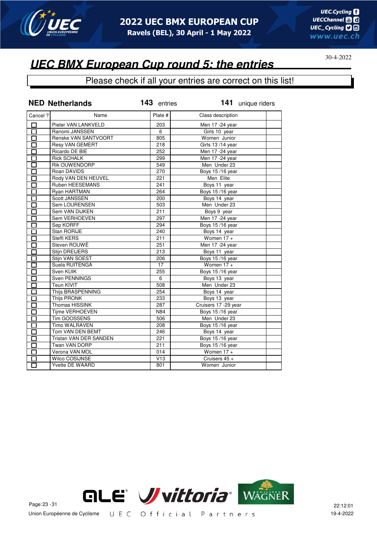

## **UEC BMX European Cup round 5: the entries**

|                   | <b>NED Netherlands</b> | 143 entries | 141 unique riders     |
|-------------------|------------------------|-------------|-----------------------|
| Cancel ?          | Name                   | Plate #     | Class description     |
| 囗                 | Pieter VAN LANKVELD    | 203         | Men 17 - 24 year      |
| $\overline{\Box}$ | Ranomi JANSSEN         | 6           | Girls 10 year         |
| $\overline{\Box}$ | Renske VAN SANTVOORT   | 805         | Women Junior          |
| $\Box$            | Resy VAN GEMERT        | 218         | Girls 13/14 year      |
| П                 | Ricardo DE BIE         | 252         | Men 17 -24 year       |
| П                 | <b>Rick SCHALK</b>     | 299         | Men 17 - 24 year      |
| $\Box$            | Rik OUWENDORP          | 549         | Men Under 23          |
| $\Box$            | Roan DAVIDS            | 270         | Boys 15/16 year       |
| 口                 | Rody VAN DEN HEUVEL    | 221         | Men Elite             |
| П                 | Ruben HEESEMANS        | 241         | Boys 11 year          |
| П                 | Ryan HARTMAN           | 264         | Boys 15/16 year       |
| П                 | Scott JANSSEN          | 200         | Boys 14 year          |
| $\Box$            | Sem LOURENSEN          | 503         | Men Under 23          |
| $\Box$            | Sem VAN DIJKEN         | 211         | Boys 9 year           |
| П                 | Sem VERHOEVEN          | 297         | Men 17 - 24 year      |
| П                 | Sep KORFF              | 294         | Boys 15/16 year       |
| П                 | Stan RORIJE            | 240         | Boys 14 year          |
| П                 | Steffi KERS            | 211         | Women $17 +$          |
| $\Box$            | Steven ROUWÉ           | 251         | Men 17 -24 year       |
| $\Box$            | Stijn DREIJERS         | 213         | Boys 11 year          |
| П                 | Stijn VAN SOEST        | 206         | Boys 15/16 year       |
| $\Box$            | Suela RUITENGA         | 17          | Women $17 +$          |
| П                 | Sven KUIK              | 255         | Boys 15/16 year       |
| П                 | Sven PENNINGS          | 6           | Boys 13 year          |
| $\Box$            | Teun KIVIT             | 508         | Men Under 23          |
| $\Box$            | Thijs BRASPENNING      | 254         | Boys 14 year          |
| $\overline{\Box}$ | <b>Thijs PRONK</b>     | 233         | Boys 13 year          |
| П                 | Thomas HISSINK         | 287         | Cruisers 17 - 29 year |
| П                 | Tijme VERHOEVEN        | N84         | Boys 15/16 year       |
| П                 | Tim GOOSSENS           | 506         | Men Under 23          |
| □                 | Timo WALRAVEN          | 208         | Boys 15/16 year       |
| $\Box$            | Tom VAN DEN BEMT       | 246         | Boys 14 year          |
| $\overline{\Box}$ | Tristan VAN DER SANDEN | 221         | Boys 15/16 year       |
| П                 | Twan VAN DORP          | 211         | Boys 15/16 year       |
| П                 | Verona VAN MOL         | 014         | Women $17 +$          |
|                   | <b>Wilco COSIJNSE</b>  | V13         | Cruisers 45 +         |
|                   | <b>Yvette DE WAARD</b> | 801         | Women Junior          |

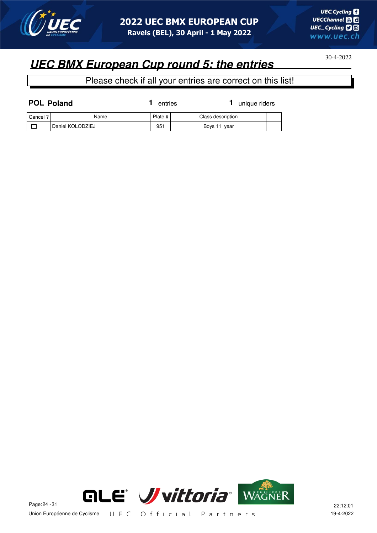

## **UEC BMX European Cup round 5: the entries**

| <b>POL Poland</b> |                  | entries   | unique riders     |  |
|-------------------|------------------|-----------|-------------------|--|
| Cancel ? I        | Name             | Plate $#$ | Class description |  |
|                   | Daniel KOLODZIEJ | 951       | Boys 11 year      |  |

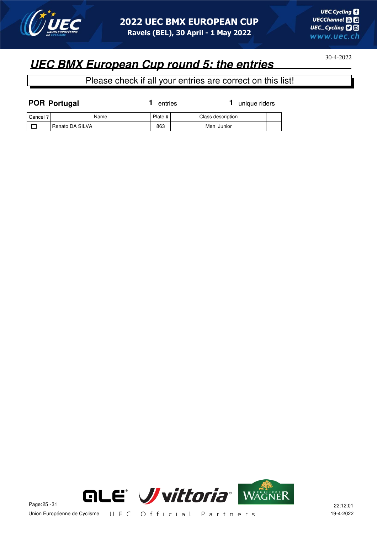

## **UEC BMX European Cup round 5: the entries**

| <b>POR Portugal</b> |                 | entries |                   | unique riders |  |
|---------------------|-----------------|---------|-------------------|---------------|--|
| Cancel ?            | Name            | Plate # | Class description |               |  |
|                     | Renato DA SILVA | 863     | Men Junior        |               |  |

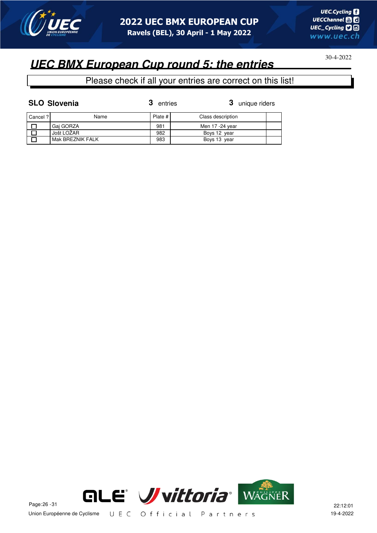

Please check if all your entries are correct on this list!

**SLO Slovenia 3** unique riders Cancel ? Name Plate # Class description  $\Box$ Gaj GORZA 381 981 Men 17 -24 year  $\Box$ Jošt LOŽAR 982 Boys 12 year  $\overline{\Box}$ Mak BREZNIK FALK 983 Boys 13 year

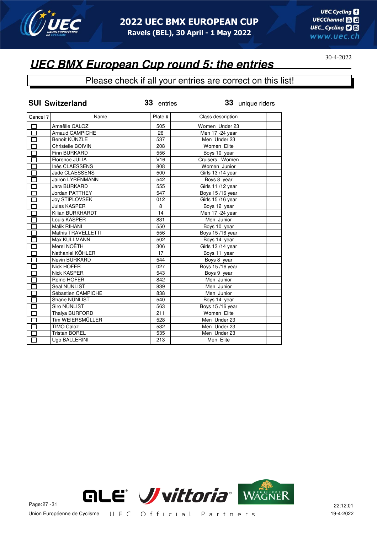

#### Please check if all your entries are correct on this list!

|          | <b>SUI Switzerland</b>  | 33 entries | 33 unique riders  |  |
|----------|-------------------------|------------|-------------------|--|
| Cancel ? | Name                    | Plate #    | Class description |  |
| 口        | Amaëlle CALOZ           | 505        | Women Under 23    |  |
| $\Box$   | <b>Arnaud CAMPICHE</b>  | 26         | Men 17 - 24 year  |  |
| П        | Benoît KÜNZLE           | 537        | Men Under 23      |  |
| $\Box$   | Christelle BOIVIN       | 208        | Women Elite       |  |
| П        | Finn BURKARD            | 556        | Boys 10 year      |  |
| О        | Florence JULIA          | V16        | Cruisers Women    |  |
| П        | Inès CLAESSENS          | 808        | Women Junior      |  |
| П        | Jade CLAESSENS          | 500        | Girls 13/14 year  |  |
|          | <b>Jairon LYRENMANN</b> | 542        | Boys 8 year       |  |
| П        | Jara BURKARD            | 555        | Girls 11 /12 year |  |
| Π        | Jordan PATTHEY          | 547        | Boys 15/16 year   |  |
| П        | Joy STIPLOVSEK          | 012        | Girls 15/16 year  |  |
| П        | <b>Jules KASPER</b>     | 8          | Boys 12 year      |  |
| П        | Kilian BURKHARDT        | 14         | Men 17 - 24 year  |  |
| П        | Louis KASPER            | 831        | Men Junior        |  |
| П        | Malik RIHANI            | 550        | Boys 10 year      |  |
| П        | Mathis TRAVELLETTI      | 556        | Boys 15/16 year   |  |
| П        | Max KULLMANN            | 502        | Boys 14 year      |  |
| П        | Merel NOËTH             | 306        | Girls 13/14 year  |  |
| $\Box$   | Nathaniel KÖHLER        | 17         | Boys 11 year      |  |
| $\Box$   | Nevin BURKARD           | 544        | Boys 8 year       |  |
| П        | Nick HOFER              | 027        | Boys 15/16 year   |  |
| П        | <b>Nick KASPER</b>      | 543        | Boys 9 year       |  |
| $\Box$   | Remo HOFER              | 842        | Men Junior        |  |
| $\Box$   | Seal NÜNLIST            | 839        | Men Junior        |  |
| П        | Sébastien CAMPICHE      | 838        | Men Junior        |  |
| П        | Shane NÜNLIST           | 540        | Boys 14 year      |  |
| П        | <b>Siro NÜNLIST</b>     | 563        | Boys 15/16 year   |  |
| $\Box$   | Thalya BURFORD          | 211        | Women Elite       |  |
| $\Box$   | <b>Tim WEIERSMÜLLER</b> | 528        | Men Under 23      |  |
| 口        | <b>TIMO Caloz</b>       | 532        | Men Under 23      |  |
| □        | <b>Tristan BOREL</b>    | 535        | Men Under 23      |  |
| DĪ       | Ugo BALLERINI           | 213        | Men Elite         |  |

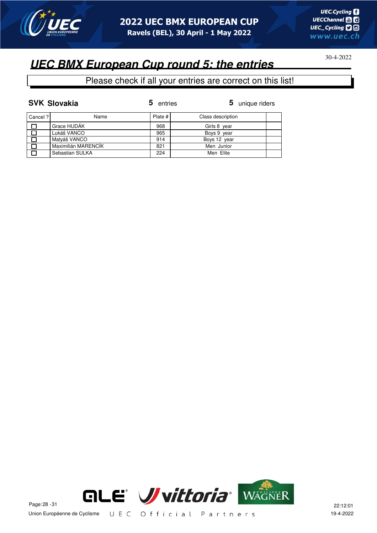

#### Please check if all your entries are correct on this list!

|          | <b>SVK Slovakia</b> | 5<br>entries | 5 unique riders   |
|----------|---------------------|--------------|-------------------|
| Cancel ? | Name                | Plate $#$    | Class description |
|          | Grace HUDÁK         | 968          | Girls 8 year      |
|          | Lukáš VANCO         | 965          | Boys 9 year       |
|          | Matyáš VANCO        | 914          | Boys 12 year      |
|          | Maximilián MARENCÍK | 821          | Men Junior        |
| П        | Sebastian SULKA     | 224          | Men Elite         |

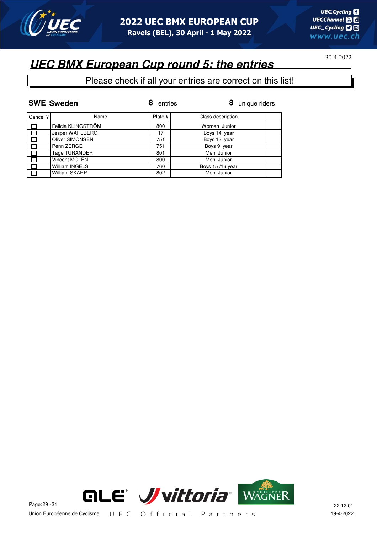

## **UEC BMX European Cup round 5: the entries**

#### Please check if all your entries are correct on this list!

|          | <b>SWE Sweden</b>      | entries | 8<br>unique riders |
|----------|------------------------|---------|--------------------|
| Cancel ? | Name                   | Plate # | Class description  |
| $\Box$   | Felicia KLINGSTRÖM     | 800     | Women Junior       |
| $\Box$   | Jesper WAHLBERG        | 17      | Boys 14 year       |
|          | <b>Oliver SIMONSEN</b> | 751     | Boys 13 year       |
|          | Penn ZERGE             | 751     | Boys 9 year        |
|          | Tage TURANDER          | 801     | Men Junior         |
|          | Vincent MOLÉN          | 800     | Men Junior         |
| П        | <b>William INGELS</b>  | 760     | Boys 15/16 year    |
|          | William SKARP          | 802     | Men Junior         |



Union Européenne de Cyclisme UEC Official Partners 19-4-2022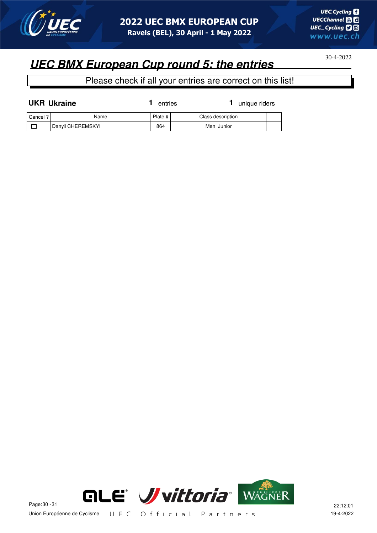

## **UEC BMX European Cup round 5: the entries**

| <b>UKR Ukraine</b> |                   | entries   |                   | unique riders |  |
|--------------------|-------------------|-----------|-------------------|---------------|--|
| Cancel ?           | Name              | Plate $#$ | Class description |               |  |
|                    | Danyil CHEREMSKYI | 864       | Men Junior        |               |  |